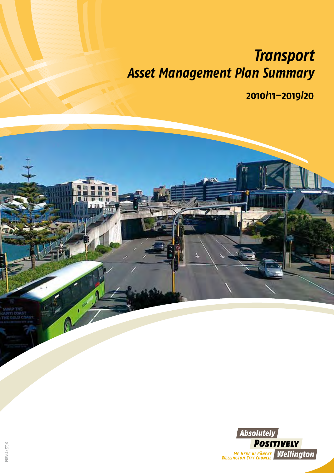# *Transport Asset Management Plan Summary*

**2010/11–2019/20**

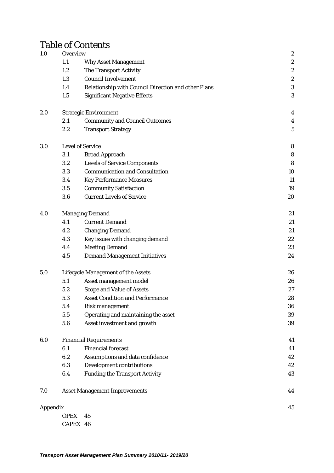# Table of Contents

| 1.0      | Overview               |                                                     | $\boldsymbol{2}$ |
|----------|------------------------|-----------------------------------------------------|------------------|
|          | 1.1                    | <b>Why Asset Management</b>                         | $\boldsymbol{2}$ |
|          | 1.2                    | The Transport Activity                              | $\boldsymbol{2}$ |
|          | 1.3                    | <b>Council Involvement</b>                          | $\boldsymbol{2}$ |
|          | 1.4                    | Relationship with Council Direction and other Plans | $\boldsymbol{3}$ |
|          | 1.5                    | <b>Significant Negative Effects</b>                 | 3                |
| 2.0      |                        | <b>Strategic Environment</b>                        | $\boldsymbol{4}$ |
|          | 2.1                    | <b>Community and Council Outcomes</b>               | $\boldsymbol{4}$ |
|          | 2.2                    | <b>Transport Strategy</b>                           | $\bf 5$          |
| 3.0      |                        | <b>Level of Service</b>                             | $\bf 8$          |
|          | 3.1                    | <b>Broad Approach</b>                               | $\bf 8$          |
|          | 3.2                    | <b>Levels of Service Components</b>                 | 8                |
|          | 3.3                    | <b>Communication and Consultation</b>               | 10               |
|          | 3.4                    | <b>Key Performance Measures</b>                     | 11               |
|          | $3.5\,$                | <b>Community Satisfaction</b>                       | 19               |
|          | 3.6                    | <b>Current Levels of Service</b>                    | 20               |
| 4.0      | <b>Managing Demand</b> | 21                                                  |                  |
|          | 4.1                    | <b>Current Demand</b>                               | 21               |
|          | 4.2                    | <b>Changing Demand</b>                              | 21               |
|          | 4.3                    | Key issues with changing demand                     | $22\,$           |
|          | 4.4                    | <b>Meeting Demand</b>                               | 23               |
|          | 4.5                    | <b>Demand Management Initiatives</b>                | 24               |
| 5.0      |                        | <b>Lifecycle Management of the Assets</b>           | 26               |
|          | 5.1                    | Asset management model                              | 26               |
|          | 5.2                    | <b>Scope and Value of Assets</b>                    | 27               |
|          | 5.3                    | <b>Asset Condition and Performance</b>              | 28               |
|          | 5.4                    | <b>Risk management</b>                              | 36               |
|          | 5.5                    | Operating and maintaining the asset                 | 39               |
|          | 5.6                    | Asset investment and growth                         | 39               |
| 6.0      |                        | <b>Financial Requirements</b>                       | 41               |
|          | 6.1                    | <b>Financial forecast</b>                           | 41               |
|          | 6.2                    | Assumptions and data confidence                     | 42               |
|          | 6.3                    | <b>Development contributions</b>                    | 42               |
|          | 6.4                    | <b>Funding the Transport Activity</b>               | 43               |
| 7.0      |                        | <b>Asset Management Improvements</b>                | 44               |
| Appendix |                        |                                                     | 45               |
|          | <b>OPEX</b>            | 45                                                  |                  |
|          | CAPEX 46               |                                                     |                  |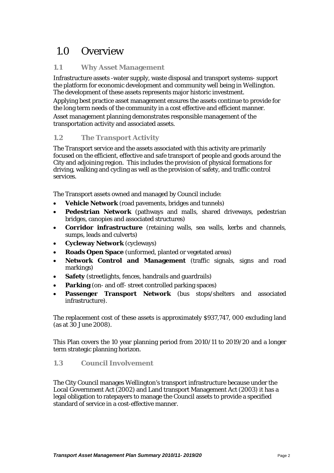# <span id="page-2-0"></span>1.0 Overview

# **1.1 Why Asset Management**

Infrastructure assets -water supply, waste disposal and transport systems- support the platform for economic development and community well being in Wellington. The development of these assets represents major historic investment.

Applying best practice asset management ensures the assets continue to provide for the long term needs of the community in a cost effective and efficient manner.

Asset management planning demonstrates responsible management of the transportation activity and associated assets.

# **1.2 The Transport Activity**

The Transport service and the assets associated with this activity are primarily focused on the efficient, effective and safe transport of people and goods around the City and adjoining region. This includes the provision of physical formations for driving, walking and cycling as well as the provision of safety, and traffic control services.

The Transport assets owned and managed by Council include:

- **Vehicle Network** (road pavements, bridges and tunnels)
- **Pedestrian Network** (pathways and malls, shared driveways, pedestrian bridges, canopies and associated structures)
- **Corridor infrastructure** (retaining walls, sea walls, kerbs and channels, sumps, leads and culverts)
- **Cycleway Network** (cycleways)
- **Roads Open Space** (unformed, planted or vegetated areas)
- **Network Control and Management** (traffic signals, signs and road markings)
- **Safety** (streetlights, fences, handrails and guardrails)
- **Parking** (on- and off- street controlled parking spaces)
- **Passenger Transport Network** (bus stops/shelters and associated infrastructure).

The replacement cost of these assets is approximately \$937,747, 000 excluding land (as at 30 June 2008).

This Plan covers the 10 year planning period from 2010/11 to 2019/20 and a longer term strategic planning horizon.

# **1.3 Council Involvement**

The City Council manages Wellington's transport infrastructure because under the Local Government Act (2002) and Land transport Management Act (2003) it has a legal obligation to ratepayers to manage the Council assets to provide a specified standard of service in a cost-effective manner.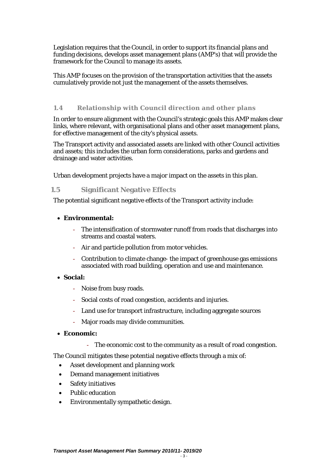<span id="page-3-0"></span>Legislation requires that the Council, in order to support its financial plans and funding decisions, develops asset management plans (AMP's) that will provide the framework for the Council to manage its assets.

This AMP focuses on the provision of the transportation activities that the assets cumulatively provide not just the management of the assets themselves.

#### **1.4 Relationship with Council direction and other plans**

In order to ensure alignment with the Council's strategic goals this AMP makes clear links, where relevant, with organisational plans and other asset management plans, for effective management of the city's physical assets.

The Transport activity and associated assets are linked with other Council activities and assets; this includes the urban form considerations, parks and gardens and drainage and water activities.

Urban development projects have a major impact on the assets in this plan.

#### **1.5 Significant Negative Effects**

The potential significant negative effects of the Transport activity include:

## • **Environmental:**

- The intensification of stormwater runoff from roads that discharges into streams and coastal waters.
- Air and particle pollution from motor vehicles.
- Contribution to climate change- the impact of greenhouse gas emissions associated with road building, operation and use and maintenance.

#### • **Social:**

- Noise from busy roads.
- Social costs of road congestion, accidents and injuries.
- Land use for transport infrastructure, including aggregate sources
- Major roads may divide communities.

### • **Economic:**

- The economic cost to the community as a result of road congestion.

The Council mitigates these potential negative effects through a mix of:

- Asset development and planning work
- Demand management initiatives
- Safety initiatives
- Public education
- Environmentally sympathetic design.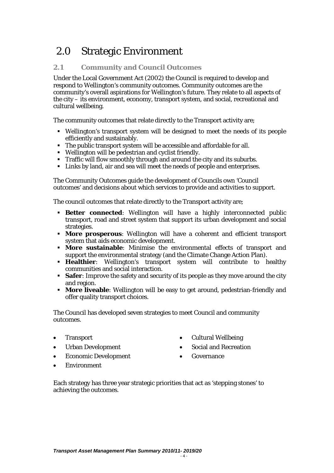# <span id="page-4-0"></span>2.0 Strategic Environment

# **2.1 Community and Council Outcomes**

Under the Local Government Act (2002) the Council is required to develop and respond to Wellington's community outcomes. Community outcomes are the community's overall aspirations for Wellington's future. They relate to all aspects of the city – its environment, economy, transport system, and social, recreational and cultural wellbeing.

The community outcomes that relate directly to the Transport activity are;

- Wellington's transport system will be designed to meet the needs of its people efficiently and sustainably.
- The public transport system will be accessible and affordable for all.
- Wellington will be pedestrian and cyclist friendly.
- Traffic will flow smoothly through and around the city and its suburbs.
- Links by land, air and sea will meet the needs of people and enterprises.

The Community Outcomes guide the development of Councils own 'Council outcomes' and decisions about which services to provide and activities to support.

The council outcomes that relate directly to the Transport activity are;

- **Better connected**: Wellington will have a highly interconnected public transport, road and street system that support its urban development and social strategies.
- **More prosperous**: Wellington will have a coherent and efficient transport system that aids economic development.
- **More sustainable**: Minimise the environmental effects of transport and support the environmental strategy (and the Climate Change Action Plan).
- **Healthier**: Wellington's transport system will contribute to healthy communities and social interaction.
- **Safer**: Improve the safety and security of its people as they move around the city and region.
- **More liveable**: Wellington will be easy to get around, pedestrian-friendly and offer quality transport choices.

The Council has developed seven strategies to meet Council and community outcomes.

- Transport
- Urban Development
- Economic Development
- Cultural Wellbeing
- Social and Recreation
- **Governance**

 $-4-$ 

• Environment

Each strategy has three year strategic priorities that act as 'stepping stones' to achieving the outcomes.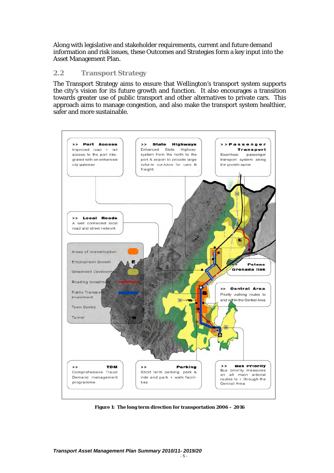<span id="page-5-0"></span>Along with legislative and stakeholder requirements, current and future demand information and risk issues, these Outcomes and Strategies form a key input into the Asset Management Plan.

#### **2.2 Transport Strategy**

The Transport Strategy aims to ensure that Wellington's transport system supports the city's vision for its future growth and function. It also encourages a transition towards greater use of public transport and other alternatives to private cars. This approach aims to manage congestion, and also make the transport system healthier, safer and more sustainable.



**Figure 1: The long term direction for transportation 2006 – 2016**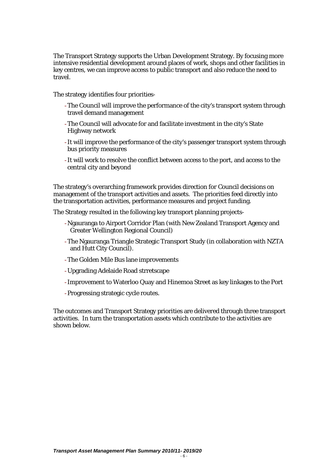The Transport Strategy supports the Urban Development Strategy. By focusing more intensive residential development around places of work, shops and other facilities in key centres, we can improve access to public transport and also reduce the need to travel.

The strategy identifies four priorities-

- -The Council will improve the performance of the city's transport system through travel demand management
- -The Council will advocate for and facilitate investment in the city's State Highway network
- -It will improve the performance of the city's passenger transport system through bus priority measures
- -It will work to resolve the conflict between access to the port, and access to the central city and beyond

The strategy's overarching framework provides direction for Council decisions on management of the transport activities and assets. The priorities feed directly into the transportation activities, performance measures and project funding.

The Strategy resulted in the following key transport planning projects-

- -Ngauranga to Airport Corridor Plan (with New Zealand Transport Agency and Greater Wellington Regional Council)
- -The Ngauranga Triangle Strategic Transport Study (in collaboration with NZTA and Hutt City Council).
- -The Golden Mile Bus lane improvements
- -Upgrading Adelaide Road strretscape
- -Improvement to Waterloo Quay and Hinemoa Street as key linkages to the Port
- -Progressing strategic cycle routes.

The outcomes and Transport Strategy priorities are delivered through three transport activities. In turn the transportation assets which contribute to the activities are shown below.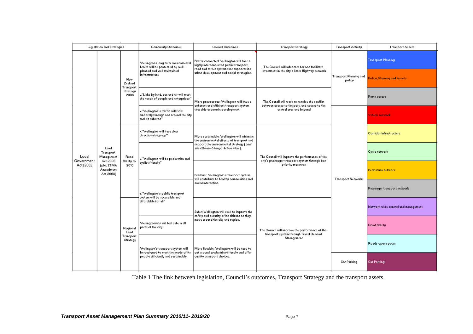| Legislation and Strategies                    |                                      | <b>Community Outcomes</b>                       | Council Outcomes                                                                              | <b>Transport Strategy</b>                                                                                                                                                                                                                                                                                                                                                                     | <b>Transport Activity</b>                                                                                            | <b>Transport Assets</b>                                                                        |                                               |                                          |                                                 |                                                                    |                             |  |  |                             |
|-----------------------------------------------|--------------------------------------|-------------------------------------------------|-----------------------------------------------------------------------------------------------|-----------------------------------------------------------------------------------------------------------------------------------------------------------------------------------------------------------------------------------------------------------------------------------------------------------------------------------------------------------------------------------------------|----------------------------------------------------------------------------------------------------------------------|------------------------------------------------------------------------------------------------|-----------------------------------------------|------------------------------------------|-------------------------------------------------|--------------------------------------------------------------------|-----------------------------|--|--|-----------------------------|
|                                               |                                      | New<br>Zealand<br>Transport<br>Strategy<br>2008 | Wellingtons long term environmental<br>health will be protected by well-                      | Better connected: Wellington will have a<br>highly interconnected public transport,<br>road and street system that supports its                                                                                                                                                                                                                                                               | The Council will advocate for and facilitate                                                                         |                                                                                                | <b>Transport Planning</b>                     |                                          |                                                 |                                                                    |                             |  |  |                             |
|                                               |                                      |                                                 |                                                                                               |                                                                                                                                                                                                                                                                                                                                                                                               |                                                                                                                      |                                                                                                | planned and well maintained<br>infrastructure | urban development and social strategies. | investment in the city's State Highway network. | Transport Planning and<br>policy                                   | Policy, Planning and Assets |  |  |                             |
|                                               |                                      |                                                 |                                                                                               | "Links by land, sea and air will meet<br>the needs of people and enterprises"                                                                                                                                                                                                                                                                                                                 | More prosperous: Wellington will have a                                                                              | The Council will work to resolve the conflict<br>between access to the port, and access to the |                                               | Ports access                             |                                                 |                                                                    |                             |  |  |                             |
|                                               |                                      |                                                 | ."Wellington's traffic will flow<br>smoothly through and around the city-<br>and its suburbs" | coherent and efficient transport system.<br>that aids economic development.                                                                                                                                                                                                                                                                                                                   | central area and beyond                                                                                              |                                                                                                | Vehicle network                               |                                          |                                                 |                                                                    |                             |  |  |                             |
|                                               |                                      | Land<br>Road<br>Safety to<br>2010               | ."Wellington will have clear<br>directional signage"<br>"Wellington will be pedestrian and    | More sustainable: Wellington will minimise<br>the environmental effects of transport and<br>support the environmental strategy ( and<br>the Climate Change Action Plan ).<br>The Council will improve the performance of the<br>city's passenger transport system through bus-<br>priority measures<br>Healthier: Wellington's transport system<br>will contribute to healthy communities and | <b>Corridor Infrastructure</b>                                                                                       |                                                                                                |                                               |                                          |                                                 |                                                                    |                             |  |  |                             |
| Local<br>Government<br>Act 2003<br>Act (2002) | Transport<br>Management              |                                                 |                                                                                               |                                                                                                                                                                                                                                                                                                                                                                                               |                                                                                                                      | <b>Transport Networks</b>                                                                      | Cycle network                                 |                                          |                                                 |                                                                    |                             |  |  |                             |
|                                               | (plus LTMA<br>Amendment<br>Act 2008) |                                                 | cyclist friendly"                                                                             |                                                                                                                                                                                                                                                                                                                                                                                               |                                                                                                                      |                                                                                                | <b>Pedestrian network</b>                     |                                          |                                                 |                                                                    |                             |  |  |                             |
|                                               |                                      |                                                 |                                                                                               |                                                                                                                                                                                                                                                                                                                                                                                               |                                                                                                                      |                                                                                                |                                               |                                          |                                                 | s."Wellington's public transport-<br>system will be accessible and | social interaction.         |  |  | Passenger transport network |
|                                               |                                      | Regional<br>Land<br>Transport<br>Strategy       | affordable for all"                                                                           | Safer: Wellington will seek to improve the<br>safety and security of its citizens as they<br>move around the city and region.                                                                                                                                                                                                                                                                 | The Council will improve the performance of the<br>transport system through Travel Demand                            |                                                                                                | Network wide control and management           |                                          |                                                 |                                                                    |                             |  |  |                             |
|                                               |                                      |                                                 | Wellingtonians will feel safe in all<br>parts of the city                                     |                                                                                                                                                                                                                                                                                                                                                                                               |                                                                                                                      |                                                                                                | Road Safety                                   |                                          |                                                 |                                                                    |                             |  |  |                             |
|                                               |                                      |                                                 |                                                                                               | Wellington's transport system will<br>be designed to meet the needs of its                                                                                                                                                                                                                                                                                                                    | More liveable: Wellington will be easy to<br>get around, pedestrian-friendly and offer<br>quality transport choices. | Management                                                                                     |                                               | Roads open spaces                        |                                                 |                                                                    |                             |  |  |                             |
|                                               |                                      |                                                 |                                                                                               |                                                                                                                                                                                                                                                                                                                                                                                               |                                                                                                                      |                                                                                                | people efficiently and sustainably.           | Car Parking                              | Car Parking                                     |                                                                    |                             |  |  |                             |

Table 1 The link between legislation, Council's outcomes, Transport Strategy and the transport assets.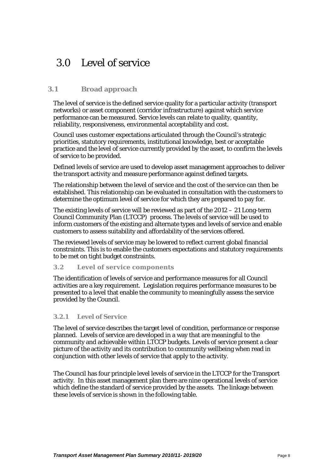# <span id="page-8-0"></span>3.0 Level of service

# **3.1 Broad approach**

The level of service is the defined service quality for a particular activity (transport networks) or asset component (corridor infrastructure) against which service performance can be measured. Service levels can relate to quality, quantity, reliability, responsiveness, environmental acceptability and cost.

Council uses customer expectations articulated through the Council's strategic priorities, statutory requirements, institutional knowledge, best or acceptable practice and the level of service currently provided by the asset, to confirm the levels of service to be provided.

Defined levels of service are used to develop asset management approaches to deliver the transport activity and measure performance against defined targets.

The relationship between the level of service and the cost of the service can then be established. This relationship can be evaluated in consultation with the customers to determine the optimum level of service for which they are prepared to pay for.

The existing levels of service will be reviewed as part of the 2012 – 21 Long-term Council Community Plan (LTCCP) process. The levels of service will be used to inform customers of the existing and alternate types and levels of service and enable customers to assess suitability and affordability of the services offered.

The reviewed levels of service may be lowered to reflect current global financial constraints. This is to enable the customers expectations and statutory requirements to be met on tight budget constraints.

#### **3.2 Level of service components**

The identification of levels of service and performance measures for all Council activities are a key requirement. Legislation requires performance measures to be presented to a level that enable the community to meaningfully assess the service provided by the Council.

#### **3.2.1 Level of Service**

The level of service describes the target level of condition, performance or response planned. Levels of service are developed in a way that are meaningful to the community and achievable within LTCCP budgets. Levels of service present a clear picture of the activity and its contribution to community wellbeing when read in conjunction with other levels of service that apply to the activity.

The Council has four principle level levels of service in the LTCCP for the Transport activity. In this asset management plan there are nine operational levels of service which define the standard of service provided by the assets. The linkage between these levels of service is shown in the following table.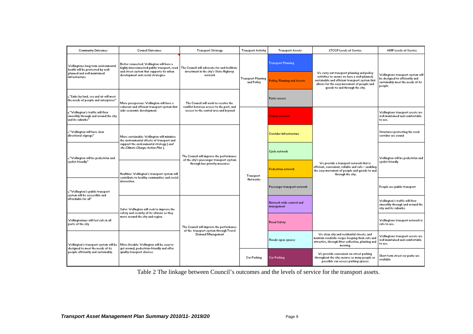| <b>Community Outcomes</b>                                                                     | <b>Council Outcomes</b>                                                                                                      | <b>Transport Strategy</b>                                                                                                                                                                                                                                                   | <b>Transport Activity</b>               | <b>Transport Assets</b>                | <b>LTCCP Levels of Service</b>                                                                                                                                                                                                | <b>AMP Levels of Service</b>                                                                                       |
|-----------------------------------------------------------------------------------------------|------------------------------------------------------------------------------------------------------------------------------|-----------------------------------------------------------------------------------------------------------------------------------------------------------------------------------------------------------------------------------------------------------------------------|-----------------------------------------|----------------------------------------|-------------------------------------------------------------------------------------------------------------------------------------------------------------------------------------------------------------------------------|--------------------------------------------------------------------------------------------------------------------|
| Wellingtons long term environmental<br>health will be protected by well-                      | Better connected: Wellington will have a<br>and street system that supports its urban-<br>development and social strategies. | highly interconnected public transport, road The Council will advocate for and facilitate<br>investment in the city's State Highway<br>network<br>The Council will work to resolve the<br>conflict between access to the port, and<br>access to the central area and beyond | <b>Transport Planning</b><br>and Policy | <b>Transport Planning</b>              |                                                                                                                                                                                                                               | Wellingtons transport system will<br>be designed to efficiently and<br>sustainably meet the needs of its<br>people |
| planned and well maintained<br>infrastructure                                                 |                                                                                                                              |                                                                                                                                                                                                                                                                             |                                         | Policy, Planning and Assets            | We carry out transport planning and policy<br>activities to ensure we have a well-planned.<br>sustainable and efficient transport system that<br>allows for the easy movement of people and<br>goods to and through the city. |                                                                                                                    |
| ."Links by land, sea and air will meet<br>the needs of people and enterprises"                | More prosperous: Wellington will have a<br>coherent and efficient transport system that                                      |                                                                                                                                                                                                                                                                             |                                         | Ports access                           |                                                                                                                                                                                                                               |                                                                                                                    |
| ."Wellington's traffic will flow<br>smoothly through and around the city-<br>and its suburbs" | aids economic development.                                                                                                   |                                                                                                                                                                                                                                                                             | Transport<br>Networks                   | Vehicle network                        | We provide a transport network that is<br>efficient, convenient, reliable and safe - enabling<br>the easy movement of people and goods to and<br>through the city.                                                            | Wellingtons transport assets are<br>well maintained and comfortable<br>to use.                                     |
| ."Wellington will have clear<br>directional signage"                                          | More sustainable: Wellington will minimise<br>the environmental effects of transport and                                     | The Council will improve the performance<br>of the city's passenger transport system.<br>through bus priority measures                                                                                                                                                      |                                         | Corridor Infrastructure                |                                                                                                                                                                                                                               | Structures protecting the road<br>corridor are sound                                                               |
| "Wellington will be pedestrian and                                                            | support the environmental strategy ( and'<br>the Climate Change Action Plan ].                                               |                                                                                                                                                                                                                                                                             |                                         | Cycle network                          |                                                                                                                                                                                                                               | Wellington will be pedestrian and<br>cyclist friendly                                                              |
| cyclist friendly"                                                                             | Healthier: Wellington's transport system will<br>contribute to healthy communities and social                                |                                                                                                                                                                                                                                                                             |                                         | <b>Pedestrian network</b>              |                                                                                                                                                                                                                               |                                                                                                                    |
| ."Wellington's public transport<br>system will be accessible and<br>affordable for all"       | interaction.                                                                                                                 |                                                                                                                                                                                                                                                                             |                                         | Passenger transport network            |                                                                                                                                                                                                                               | People use public transport                                                                                        |
|                                                                                               | Safer: Wellington will seek to improve the<br>safety and security of its citizens as they                                    | The Council will improve the performance.<br>of the transport system through Travel<br>Demand Management                                                                                                                                                                    |                                         | Network wide control and<br>management |                                                                                                                                                                                                                               | Wellington's traffic will flow<br>smoothly through and around the<br>city and its suburbs.                         |
| Wellingtonians will feel safe in all<br>parts of the city                                     | move around the city and region.                                                                                             |                                                                                                                                                                                                                                                                             |                                         | Road Safety                            |                                                                                                                                                                                                                               | Wellingtons transport network is<br>safe to use.                                                                   |
| Wellington's transport system will be<br>designed to meet the needs of its                    | More liveable: Wellington will be easy to<br>get around, pedestrian-friendly and offer<br>quality transport choices.         |                                                                                                                                                                                                                                                                             |                                         | Roads open spaces                      | We clean city and residential streets, and<br>maintain roadside verges keeping them safe and<br>attractive, through litter collection, planting and<br>mowing.                                                                | Wellingtons transport assets are<br>well maintained and comfortable<br>to use.                                     |
| people efficiently and sustainably.                                                           |                                                                                                                              |                                                                                                                                                                                                                                                                             | Car Parking                             | <b>Car Parking</b>                     | We provide convenient on-street parking<br>throughout the city ensures as many people as<br>possible can access parking spaces.                                                                                               | Short term street car parks are<br>available                                                                       |

Table 2 The linkage between Council's outcomes and the levels of service for the transport assets.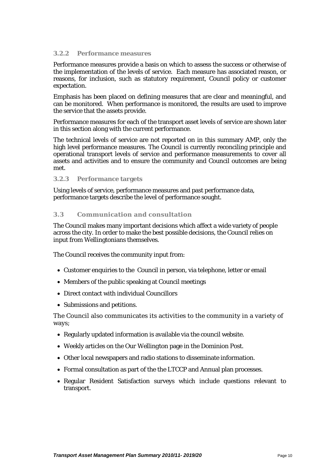#### <span id="page-10-0"></span>**3.2.2 Performance measures**

Performance measures provide a basis on which to assess the success or otherwise of the implementation of the levels of service. Each measure has associated reason, or reasons, for inclusion, such as statutory requirement, Council policy or customer expectation.

Emphasis has been placed on defining measures that are clear and meaningful, and can be monitored. When performance is monitored, the results are used to improve the service that the assets provide.

Performance measures for each of the transport asset levels of service are shown later in this section along with the current performance.

The technical levels of service are not reported on in this summary AMP, only the high level performance measures. The Council is currently reconciling principle and operational transport levels of service and performance measurements to cover all assets and activities and to ensure the community and Council outcomes are being met.

#### **3.2.3 Performance targets**

Using levels of service, performance measures and past performance data, performance targets describe the level of performance sought.

#### **3.3 Communication and consultation**

The Council makes many important decisions which affect a wide variety of people across the city. In order to make the best possible decisions, the Council relies on input from Wellingtonians themselves.

The Council receives the community input from:

- Customer enquiries to the Council in person, via telephone, letter or email
- Members of the public speaking at Council meetings
- Direct contact with individual Councillors
- Submissions and petitions.

The Council also communicates its activities to the community in a variety of ways;

- Regularly updated information is available via the council website.
- Weekly articles on the *Our Wellington* page in the Dominion Post.
- Other local newspapers and radio stations to disseminate information.
- Formal consultation as part of the the LTCCP and Annual plan processes.
- Regular Resident Satisfaction surveys which include questions relevant to transport.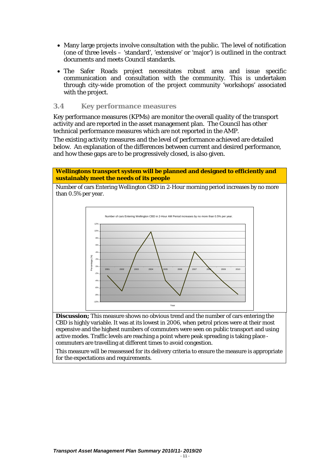- <span id="page-11-0"></span>• Many large projects involve consultation with the public. The level of notification (one of three levels – 'standard', 'extensive' or 'major') is outlined in the contract documents and meets Council standards.
- The Safer Roads project necessitates robust area and issue specific communication and consultation with the community. This is undertaken through city-wide promotion of the project community 'workshops' associated with the project.

#### **3.4 Key performance measures**

Key performance measures (KPMs) are monitor the overall quality of the transport activity and are reported in the asset management plan. The Council has other technical performance measures which are not reported in the AMP.

The existing activity measures and the level of performance achieved are detailed below. An explanation of the differences between current and desired performance, and how these gaps are to be progressively closed, is also given.

#### **Wellingtons transport system will be planned and designed to efficiently and sustainably meet the needs of its people**

Number of cars Entering Wellington CBD in 2-Hour morning period increases by no more than 0.5% per year.



**Discussion;** This measure shows no obvious trend and the number of cars entering the CBD is highly variable. It was at its lowest in 2006, when petrol prices were at their most expensive and the highest numbers of commuters were seen on public transport and using active modes. Traffic levels are reaching a point where peak spreading is taking place commuters are travelling at different times to avoid congestion.

This measure will be reassessed for its delivery criteria to ensure the measure is appropriate for the expectations and requirements.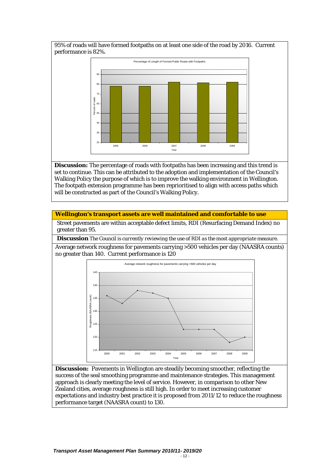95% of roads will have formed footpaths on at least one side of the road by 2016. Current performance is 82%.



**Discussion:** The percentage of roads with footpaths has been increasing and this trend is set to continue. This can be attributed to the adoption and implementation of the Council's Walking Policy the purpose of which is to improve the walking environment in Wellington. The footpath extension programme has been reprioritised to align with access paths which will be constructed as part of the Council's Walking Policy.

#### **Wellington's transport assets are well maintained and comfortable to use**

Street pavements are within acceptable defect limits, RDI (Resurfacing Demand Index) no greater than 95.

**Discussion** *The Council is currently reviewing the use of RDI as the most appropriate measure.* 

Average network roughness for pavements carrying >500 vehicles per day (NAASRA counts) no greater than 140. Current performance is 120



**Discussion:** Pavements in Wellington are steadily becoming smoother, reflecting the success of the seal smoothing programme and maintenance strategies. This management approach is clearly meeting the level of service. However, in comparison to other New Zealand cities, average roughness is still high. In order to meet increasing customer expectations and industry best practice it is proposed from 2011/12 to reduce the roughness performance target (NAASRA count) to 130.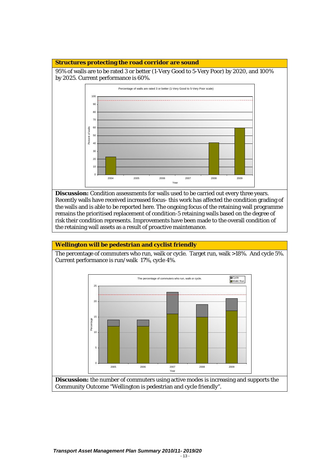#### **Structures protecting the road corridor are sound**

95% of walls are to be rated 3 or better (1-Very Good to 5-Very Poor) by 2020, and 100% by 2025. Current performance is 60%.



**Discussion:** Condition assessments for walls used to be carried out every three years. Recently walls have received increased focus- this work has affected the condition grading of the walls and is able to be reported here. The ongoing focus of the retaining wall programme remains the prioritised replacement of condition-5 retaining walls based on the degree of risk their condition represents. Improvements have been made to the overall condition of the retaining wall assets as a result of proactive maintenance.

#### **Wellington will be pedestrian and cyclist friendly**

The percentage of commuters who run, walk or cycle. Target run, walk >18%. And cycle 5%. Current performance is run/walk 17%, cycle 4%.

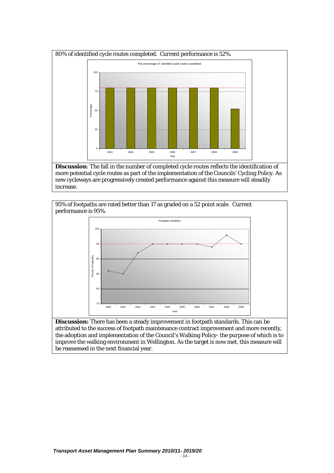

**Discussion**: The fall in the number of completed cycle routes reflects the identification of more potential cycle routes as part of the implementation of the Councils' Cycling Policy. As new cycleways are progressively created performance against this measure will steadily increase.



**Discussion:** There has been a steady improvement in footpath standards. This can be attributed to the success of footpath maintenance contract improvement and more recently, the adoption and implementation of the Council's Walking Policy- the purpose of which is to improve the walking environment in Wellington. As the target is now met, this measure will be reassessed in the next financial year.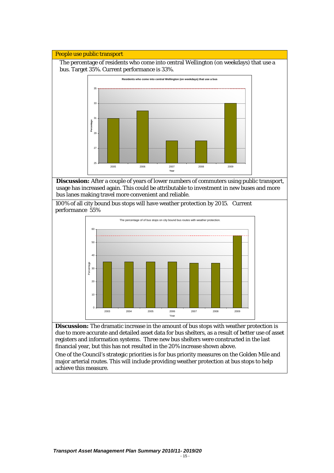#### People use public transport

The percentage of residents who come into central Wellington (on weekdays) that use a bus. Target 35%. Current performance is 33%.



**Discussion:** After a couple of years of lower numbers of commuters using public transport, usage has increased again. This could be attributable to investment in new buses and more bus lanes making travel more convenient and reliable.

100% of all city bound bus stops will have weather protection by 2015. Current performance 55%



**Discussion:** The dramatic increase in the amount of bus stops with weather protection is due to more accurate and detailed asset data for bus shelters, as a result of better use of asset registers and information systems. Three new bus shelters were constructed in the last financial year, but this has not resulted in the 20% increase shown above.

One of the Council's strategic priorities is for bus priority measures on the Golden Mile and major arterial routes. This will include providing weather protection at bus stops to help achieve this measure.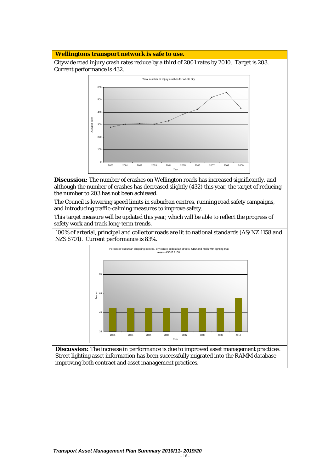#### **Wellingtons transport network is safe to use.**

Citywide road injury crash rates reduce by a third of 2001 rates by 2010. Target is 203. Current performance is 432.



**Discussion:** The number of crashes on Wellington roads has increased significantly, and although the number of crashes has decreased slightly (432) this year, the target of reducing the number to 203 has not been achieved.

The Council is lowering speed limits in suburban centres, running road safety campaigns, and introducing traffic-calming measures to improve safety.

This target measure will be updated this year, which will be able to reflect the progress of safety work and track long-term trends.

100% of arterial, principal and collector roads are lit to national standards (AS/NZ 1158 and NZS 6701). Current performance is 83%.



**Discussion:** The increase in performance is due to improved asset management practices. Street lighting asset information has been successfully migrated into the RAMM database improving both contract and asset management practices.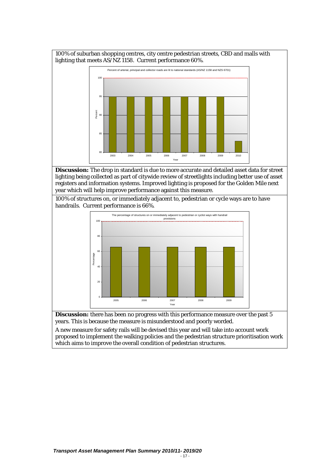



**Discussion:** The drop in standard is due to more accurate and detailed asset data for street lighting being collected as part of citywide review of streetlights including better use of asset registers and information systems. Improved lighting is proposed for the Golden Mile next year which will help improve performance against this measure.

100% of structures on, or immediately adjacent to, pedestrian or cycle ways are to have handrails. Current performance is 66%.



**Discussion:** there has been no progress with this performance measure over the past 5 years. This is because the measure is misunderstood and poorly worded.

A new measure for safety rails will be devised this year and will take into account work proposed to implement the walking policies and the pedestrian structure prioritisation work which aims to improve the overall condition of pedestrian structures.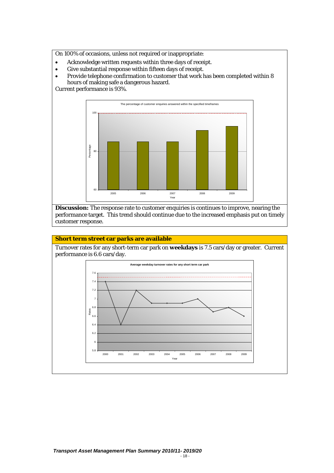On 100% of occasions, unless not required or inappropriate:

- Acknowledge written requests within three days of receipt.
- Give substantial response within fifteen days of receipt.
- Provide telephone confirmation to customer that work has been completed within 8 hours of making safe a dangerous hazard.

Current performance is 93%.



**Discussion:** The response rate to customer enquiries is continues to improve, nearing the performance target. This trend should continue due to the increased emphasis put on timely customer response.

#### **Short term street car parks are available**

Turnover rates for any short-term car park on **weekdays** is 7.5 cars/day or greater. Current performance is 6.6 cars/day.

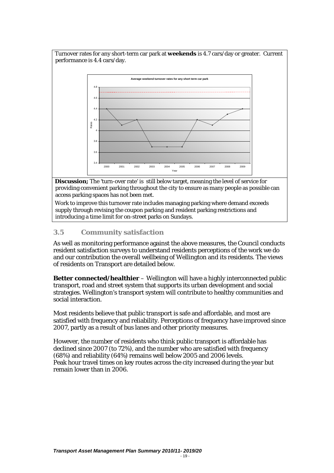<span id="page-19-0"></span>

**Discussion;** The 'turn-over rate' is still below target, meaning the level of service for providing convenient parking throughout the city to ensure as many people as possible can access parking spaces has not been met.

Work to improve this turnover rate includes managing parking where demand exceeds supply through revising the coupon parking and resident parking restrictions and introducing a time limit for on-street parks on Sundays.

# **3.5 Community satisfaction**

As well as monitoring performance against the above measures, the Council conducts resident satisfaction surveys to understand residents perceptions of the work we do and our contribution the overall wellbeing of Wellington and its residents. The views of residents on Transport are detailed below.

**Better connected/healthier** – Wellington will have a highly interconnected public transport, road and street system that supports its urban development and social strategies. Wellington's transport system will contribute to healthy communities and social interaction.

Most residents believe that public transport is safe and affordable, and most are satisfied with frequency and reliability. Perceptions of frequency have improved since 2007, partly as a result of bus lanes and other priority measures.

However, the number of residents who think public transport is affordable has declined since 2007 (to 72%), and the number who are satisfied with frequency (68%) and reliability (64%) remains well below 2005 and 2006 levels. Peak hour travel times on key routes across the city increased during the year but remain lower than in 2006.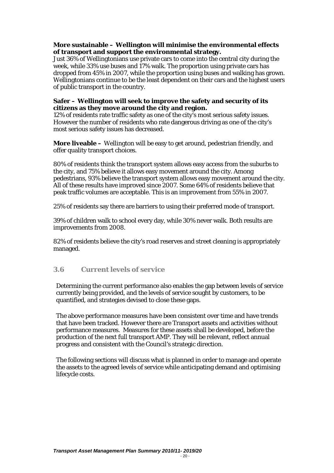#### <span id="page-20-0"></span>**More sustainable – Wellington will minimise the environmental effects of transport and support the environmental strategy.**

Just 36% of Wellingtonians use private cars to come into the central city during the week, while 33% use buses and 17% walk. The proportion using private cars has dropped from 45% in 2007, while the proportion using buses and walking has grown. Wellingtonians continue to be the least dependent on their cars and the highest users of public transport in the country.

#### **Safer – Wellington will seek to improve the safety and security of its citizens as they move around the city and region.**

12% of residents rate traffic safety as one of the city's most serious safety issues. However the number of residents who rate dangerous driving as one of the city's most serious safety issues has decreased.

**More liveable –** Wellington will be easy to get around, pedestrian friendly, and offer quality transport choices.

80% of residents think the transport system allows easy access from the suburbs to the city, and 75% believe it allows easy movement around the city. Among pedestrians, 93% believe the transport system allows easy movement around the city. All of these results have improved since 2007. Some 64% of residents believe that peak traffic volumes are acceptable. This is an improvement from 55% in 2007.

25% of residents say there are barriers to using their preferred mode of transport.

39% of children walk to school every day, while 30% never walk. Both results are improvements from 2008.

82% of residents believe the city's road reserves and street cleaning is appropriately managed.

### **3.6 Current levels of service**

Determining the current performance also enables the gap between levels of service currently being provided, and the levels of service sought by customers, to be quantified, and strategies devised to close these gaps.

The above performance measures have been consistent over time and have trends that have been tracked. However there are Transport assets and activities without performance measures. Measures for these assets shall be developed, before the production of the next full transport AMP. They will be relevant, reflect annual progress and consistent with the Council's strategic direction.

The following sections will discuss what is planned in order to manage and operate the assets to the agreed levels of service while anticipating demand and optimising lifecycle costs.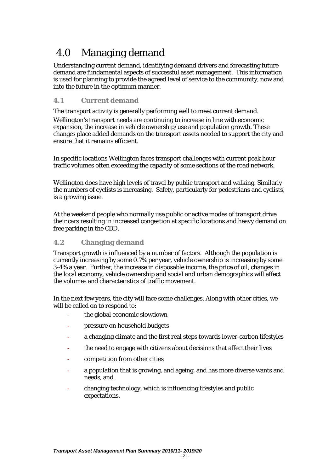# <span id="page-21-0"></span>4.0 Managing demand

Understanding current demand, identifying demand drivers and forecasting future demand are fundamental aspects of successful asset management. This information is used for planning to provide the agreed level of service to the community, now and into the future in the optimum manner.

# **4.1 Current demand**

The transport activity is generally performing well to meet current demand.

Wellington's transport needs are continuing to increase in line with economic expansion, the increase in vehicle ownership/use and population growth. These changes place added demands on the transport assets needed to support the city and ensure that it remains efficient.

In specific locations Wellington faces transport challenges with current peak hour traffic volumes often exceeding the capacity of some sections of the road network.

Wellington does have high levels of travel by public transport and walking. Similarly the numbers of cyclists is increasing. Safety, particularly for pedestrians and cyclists, is a growing issue.

At the weekend people who normally use public or active modes of transport drive their cars resulting in increased congestion at specific locations and heavy demand on free parking in the CBD.

# **4.2 Changing demand**

Transport growth is influenced by a number of factors. Although the population is currently increasing by some 0.7% per year, vehicle ownership is increasing by some 3-4% a year. Further, the increase in disposable income, the price of oil, changes in the local economy, vehicle ownership and social and urban demographics will affect the volumes and characteristics of traffic movement.

In the next few years, the city will face some challenges. Along with other cities, we will be called on to respond to:

- the global economic slowdown
- pressure on household budgets
- a changing climate and the first real steps towards lower-carbon lifestyles
- the need to engage with citizens about decisions that affect their lives
- competition from other cities
- a population that is growing, and ageing, and has more diverse wants and needs, and
- changing technology, which is influencing lifestyles and public expectations.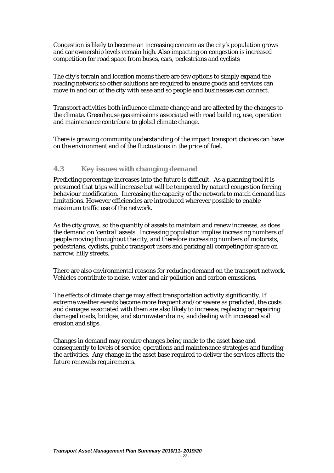<span id="page-22-0"></span>Congestion is likely to become an increasing concern as the city's population grows and car ownership levels remain high. Also impacting on congestion is increased competition for road space from buses, cars, pedestrians and cyclists

The city's terrain and location means there are few options to simply expand the roading network so other solutions are required to ensure goods and services can move in and out of the city with ease and so people and businesses can connect.

Transport activities both influence climate change and are affected by the changes to the climate. Greenhouse gas emissions associated with road building, use, operation and maintenance contribute to global climate change.

There is growing community understanding of the impact transport choices can have on the environment and of the fluctuations in the price of fuel.

#### **4.3 Key issues with changing demand**

Predicting percentage increases into the future is difficult. As a planning tool it is presumed that trips will increase but will be tempered by natural congestion forcing behaviour modification. Increasing the capacity of the network to match demand has limitations. However efficiencies are introduced wherever possible to enable maximum traffic use of the network.

As the city grows, so the quantity of assets to maintain and renew increases, as does the demand on 'central' assets. Increasing population implies increasing numbers of people moving throughout the city, and therefore increasing numbers of motorists, pedestrians, cyclists, public transport users and parking all competing for space on narrow, hilly streets.

There are also environmental reasons for reducing demand on the transport network. Vehicles contribute to noise, water and air pollution and carbon emissions.

The effects of climate change may affect transportation activity significantly. If extreme weather events become more frequent and/or severe as predicted, the costs and damages associated with them are also likely to increase; replacing or repairing damaged roads, bridges, and stormwater drains, and dealing with increased soil erosion and slips.

Changes in demand may require changes being made to the asset base and consequently to levels of service, operations and maintenance strategies and funding the activities. Any change in the asset base required to deliver the services affects the future renewals requirements.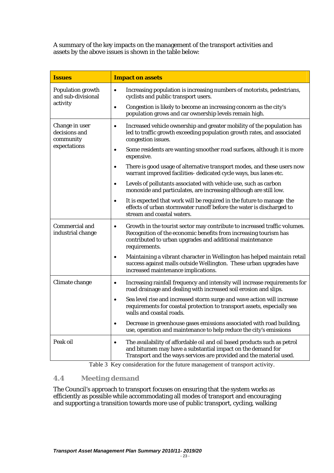<span id="page-23-0"></span>A summary of the key impacts on the management of the transport activities and assets by the above issues is shown in the table below:

| <b>Issues</b>                                | <b>Impact on assets</b>                                                                                                                                                                                                                 |
|----------------------------------------------|-----------------------------------------------------------------------------------------------------------------------------------------------------------------------------------------------------------------------------------------|
| Population growth<br>and sub-divisional      | Increasing population is increasing numbers of motorists, pedestrians,<br>$\bullet$<br>cyclists and public transport users.                                                                                                             |
| activity                                     | Congestion is likely to become an increasing concern as the city's<br>$\bullet$<br>population grows and car ownership levels remain high.                                                                                               |
| Change in user<br>decisions and<br>community | Increased vehicle ownership and greater mobility of the population has<br>$\bullet$<br>led to traffic growth exceeding population growth rates, and associated<br>congestion issues.                                                    |
| expectations                                 | Some residents are wanting smoother road surfaces, although it is more<br>$\bullet$<br>expensive.                                                                                                                                       |
|                                              | There is good usage of alternative transport modes, and these users now<br>$\bullet$<br>warrant improved facilities- dedicated cycle ways, bus lanes etc.                                                                               |
|                                              | Levels of pollutants associated with vehicle use, such as carbon<br>$\bullet$<br>monoxide and particulates, are increasing although are still low.                                                                                      |
|                                              | It is expected that work will be required in the future to manage the<br>$\bullet$<br>effects of urban stormwater runoff before the water is discharged to<br>stream and coastal waters.                                                |
| Commercial and<br>industrial change          | Growth in the tourist sector may contribute to increased traffic volumes.<br>$\bullet$<br>Recognition of the economic benefits from increasing tourism has<br>contributed to urban upgrades and additional maintenance<br>requirements. |
|                                              | Maintaining a vibrant character in Wellington has helped maintain retail<br>$\bullet$<br>success against malls outside Wellington. These urban upgrades have<br>increased maintenance implications.                                     |
| Climate change                               | Increasing rainfall frequency and intensity will increase requirements for<br>$\bullet$<br>road drainage and dealing with increased soil erosion and slips.                                                                             |
|                                              | Sea level rise and increased storm surge and wave action will increase<br>$\bullet$<br>requirements for coastal protection to transport assets, especially sea<br>walls and coastal roads.                                              |
|                                              | Decrease in greenhouse gases emissions associated with road building,<br>$\bullet$<br>use, operation and maintenance to help reduce the city's emissions                                                                                |
| Peak oil                                     | The availability of affordable oil and oil based products such as petrol<br>$\bullet$<br>and bitumen may have a substantial impact on the demand for<br>Transport and the ways services are provided and the material used.             |

Table 3 Key consideration for the future management of transport activity.

# **4.4 Meeting demand**

The Council's approach to transport focuses on ensuring that the system works as efficiently as possible while accommodating all modes of transport and encouraging and supporting a transition towards more use of public transport, cycling, walking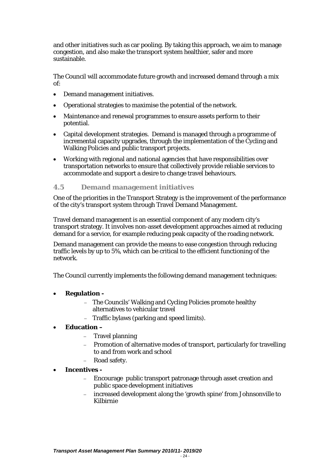<span id="page-24-0"></span>and other initiatives such as car pooling. By taking this approach, we aim to manage congestion, and also make the transport system healthier, safer and more sustainable.

The Council will accommodate future growth and increased demand through a mix of:

- Demand management initiatives.
- Operational strategies to maximise the potential of the network.
- Maintenance and renewal programmes to ensure assets perform to their potential.
- Capital development strategies. Demand is managed through a programme of incremental capacity upgrades, through the implementation of the Cycling and Walking Policies and public transport projects.
- Working with regional and national agencies that have responsibilities over transportation networks to ensure that collectively provide reliable services to accommodate and support a desire to change travel behaviours.

### **4.5 Demand management initiatives**

One of the priorities in the Transport Strategy is the improvement of the performance of the city's transport system through Travel Demand Management.

Travel demand management is an essential component of any modern city's transport strategy. It involves non-asset development approaches aimed at reducing demand for a service, for example reducing peak capacity of the roading network.

Demand management can provide the means to ease congestion through reducing traffic levels by up to 5%, which can be critical to the efficient functioning of the network.

The Council currently implements the following demand management techniques:

- **Regulation -**
	- The Councils' Walking and Cycling Policies promote healthy alternatives to vehicular travel
	- − Traffic bylaws (parking and speed limits).

### • **Education –**

- Travel planning
- Promotion of alternative modes of transport, particularly for travelling to and from work and school
- Road safety.

#### • **Incentives -**

- Encourage public transport patronage through asset creation and public space development initiatives
- − increased development along the 'growth spine' from Johnsonville to Kilbirnie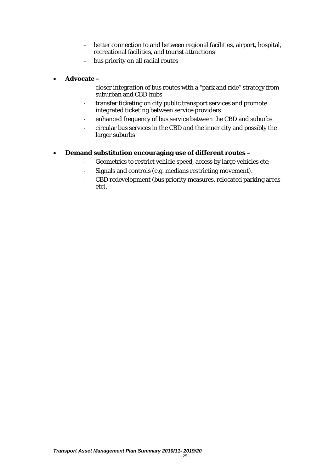- better connection to and between regional facilities, airport, hospital, recreational facilities, and tourist attractions
- − bus priority on all radial routes

# • **Advocate –**

- closer integration of bus routes with a "park and ride" strategy from suburban and CBD hubs
- transfer ticketing on city public transport services and promote integrated ticketing between service providers
- enhanced frequency of bus service between the CBD and suburbs
- circular bus services in the CBD and the inner city and possibly the larger suburbs

# • **Demand substitution encouraging use of different routes –**

- Geometrics to restrict vehicle speed, access by large vehicles etc;
- Signals and controls (e.g. medians restricting movement).
- CBD redevelopment (bus priority measures, relocated parking areas etc).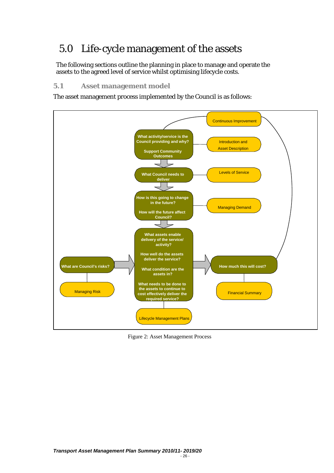# <span id="page-26-0"></span>5.0 Life-cycle management of the assets

The following sections outline the planning in place to manage and operate the assets to the agreed level of service whilst optimising lifecycle costs.

# **5.1 Asset management model**

The asset management process implemented by the Council is as follows:



Figure 2: Asset Management Process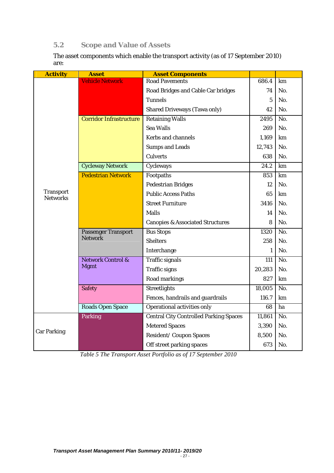# <span id="page-27-0"></span>**5.2 Scope and Value of Assets**

The asset components which enable the transport activity (as of 17 September 2010) are:

| <b>Activity</b>                     | <b>Asset</b>                   | <b>Asset Components</b>                       |                 |                  |
|-------------------------------------|--------------------------------|-----------------------------------------------|-----------------|------------------|
|                                     | <b>Vehicle Network</b>         | <b>Road Pavements</b>                         | 686.4           | km               |
|                                     |                                | Road Bridges and Cable Car bridges            | 74              | No.              |
|                                     |                                | <b>Tunnels</b>                                | $5\phantom{.0}$ | No.              |
|                                     |                                | <b>Shared Driveways (Tawa only)</b>           | 42              | No.              |
|                                     | <b>Corridor Infrastructure</b> | <b>Retaining Walls</b>                        | 2495            | No.              |
|                                     |                                | <b>Sea Walls</b>                              | 269             | No.              |
|                                     |                                | <b>Kerbs and channels</b>                     | 1,169           | km               |
|                                     |                                | <b>Sumps and Leads</b>                        | 12,743          | No.              |
|                                     |                                | <b>Culverts</b>                               | 638             | No.              |
|                                     | <b>Cycleway Network</b>        | Cycleways                                     | 24.2            | km               |
|                                     | <b>Pedestrian Network</b>      | Footpaths                                     | 853             | km               |
|                                     |                                | <b>Pedestrian Bridges</b>                     | 12              | No.              |
| <b>Transport</b><br><b>Networks</b> |                                | <b>Public Access Paths</b>                    | 65              | km               |
|                                     |                                | <b>Street Furniture</b>                       | 3416            | No.              |
|                                     |                                | <b>Malls</b>                                  | 14              | No.              |
|                                     |                                | <b>Canopies &amp; Associated Structures</b>   | 8               | No.              |
|                                     | <b>Passenger Transport</b>     | <b>Bus Stops</b>                              | 1320            | $\overline{No.}$ |
|                                     | <b>Network</b>                 | <b>Shelters</b>                               | 258             | No.              |
|                                     |                                | Interchange                                   | 1               | No.              |
|                                     | <b>Network Control &amp;</b>   | <b>Traffic signals</b>                        | 111             | No.              |
|                                     | <b>Mgmt</b>                    | <b>Traffic signs</b>                          | 20,283          | No.              |
|                                     |                                | Road markings                                 | 827             | km               |
|                                     | <b>Safety</b>                  | <b>Streetlights</b>                           | 18,005          | $\overline{No.}$ |
|                                     |                                | Fences, handrails and guardrails              | 116.7           | km               |
|                                     | <b>Roads Open Space</b>        | <b>Operational activities only</b>            | 68              | ha               |
|                                     | <b>Parking</b>                 | <b>Central City Controlled Parking Spaces</b> | 11,861          | No.              |
|                                     |                                | <b>Metered Spaces</b>                         | 3,390           | No.              |
| <b>Car Parking</b>                  |                                | Resident/Coupon Spaces                        | 8,500           | No.              |
|                                     |                                | Off street parking spaces                     | 673             | No.              |

*Table 5 The Transport Asset Portfolio as of 17 September 2010*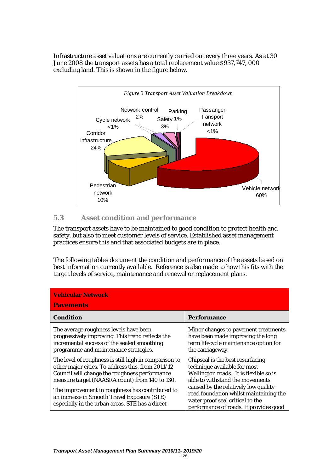<span id="page-28-0"></span>Infrastructure asset valuations are currently carried out every three years. As at 30 June 2008 the transport assets has a total replacement value \$937,747, 000 excluding land. This is shown in the figure below.



# **5.3 Asset condition and performance**

The transport assets have to be maintained to good condition to protect health and safety, but also to meet customer levels of service. Established asset management practices ensure this and that associated budgets are in place.

The following tables document the condition and performance of the assets based on best information currently available. Reference is also made to how this fits with the target levels of service, maintenance and renewal or replacement plans.

| <b>Vehicular Network</b><br><b>Pavements</b>                                                                                                                                                                                                                                                                                                                       |                                                                                                                                                                                                                                                                                                               |  |  |  |
|--------------------------------------------------------------------------------------------------------------------------------------------------------------------------------------------------------------------------------------------------------------------------------------------------------------------------------------------------------------------|---------------------------------------------------------------------------------------------------------------------------------------------------------------------------------------------------------------------------------------------------------------------------------------------------------------|--|--|--|
| <b>Condition</b>                                                                                                                                                                                                                                                                                                                                                   | <b>Performance</b>                                                                                                                                                                                                                                                                                            |  |  |  |
| The average roughness levels have been<br>progressively improving. This trend reflects the<br>incremental success of the sealed smoothing<br>programme and maintenance strategies.                                                                                                                                                                                 | Minor changes to pavement treatments<br>have been made improving the long<br>term lifecycle maintenance option for<br>the carriageway.                                                                                                                                                                        |  |  |  |
| The level of roughness is still high in comparison to<br>other major cities. To address this, from 2011/12<br>Council will change the roughness performance<br>measure target (NAASRA count) from 140 to 130.<br>The improvement in roughness has contributed to<br>an increase in Smooth Travel Exposure (STE)<br>especially in the urban areas. STE has a direct | Chipseal is the best resurfacing<br>technique available for most<br>Wellington roads. It is flexible so is<br>able to withstand the movements<br>caused by the relatively low quality<br>road foundation whilst maintaining the<br>water proof seal critical to the<br>performance of roads. It provides good |  |  |  |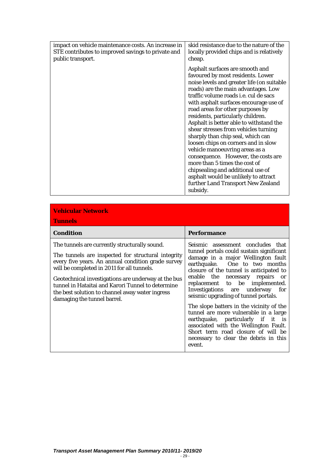| impact on vehicle maintenance costs. An increase in | skid resistance due to the nature of the                                                                                                                                                                                                                                                                                                                                                                                                                                                                                                                                                                                                                                                                                             |
|-----------------------------------------------------|--------------------------------------------------------------------------------------------------------------------------------------------------------------------------------------------------------------------------------------------------------------------------------------------------------------------------------------------------------------------------------------------------------------------------------------------------------------------------------------------------------------------------------------------------------------------------------------------------------------------------------------------------------------------------------------------------------------------------------------|
| STE contributes to improved savings to private and  | locally provided chips and is relatively                                                                                                                                                                                                                                                                                                                                                                                                                                                                                                                                                                                                                                                                                             |
| public transport.                                   | cheap.                                                                                                                                                                                                                                                                                                                                                                                                                                                                                                                                                                                                                                                                                                                               |
|                                                     | Asphalt surfaces are smooth and<br>favoured by most residents. Lower<br>noise levels and greater life (on suitable<br>roads) are the main advantages. Low<br>traffic volume roads <i>i.e.</i> cul de sacs<br>with asphalt surfaces encourage use of<br>road areas for other purposes by<br>residents, particularly children.<br>Asphalt is better able to withstand the<br>shear stresses from vehicles turning<br>sharply than chip seal, which can<br>loosen chips on corners and in slow<br>vehicle manoeuvring areas as a<br>consequence. However, the costs are<br>more than 5 times the cost of<br>chipsealing and additional use of<br>asphalt would be unlikely to attract<br>further Land Transport New Zealand<br>subsidy. |

| <b>Vehicular Network</b><br><b>Tunnels</b>                                                                                                                                                                                                                                                                                                                                                            |                                                                                                                                                                                                                                                                                                                                                                                                                                                                                                                                                                                                             |  |  |  |
|-------------------------------------------------------------------------------------------------------------------------------------------------------------------------------------------------------------------------------------------------------------------------------------------------------------------------------------------------------------------------------------------------------|-------------------------------------------------------------------------------------------------------------------------------------------------------------------------------------------------------------------------------------------------------------------------------------------------------------------------------------------------------------------------------------------------------------------------------------------------------------------------------------------------------------------------------------------------------------------------------------------------------------|--|--|--|
| <b>Condition</b>                                                                                                                                                                                                                                                                                                                                                                                      | <b>Performance</b>                                                                                                                                                                                                                                                                                                                                                                                                                                                                                                                                                                                          |  |  |  |
| The tunnels are currently structurally sound.<br>The tunnels are inspected for structural integrity<br>every five years. An annual condition grade survey<br>will be completed in 2011 for all tunnels.<br>Geotechnical investigations are underway at the bus<br>tunnel in Hataitai and Karori Tunnel to determine<br>the best solution to channel away water ingress<br>damaging the tunnel barrel. | Seismic assessment concludes that<br>tunnel portals could sustain significant<br>damage in a major Wellington fault<br>earthquake. One to two months<br>closure of the tunnel is anticipated to<br>enable the necessary repairs or<br>replacement to be implemented.<br>Investigations are underway for<br>seismic upgrading of tunnel portals.<br>The slope batters in the vicinity of the<br>tunnel are more vulnerable in a large<br>earthquake, particularly if it is<br>associated with the Wellington Fault.<br>Short term road closure of will be<br>necessary to clear the debris in this<br>event. |  |  |  |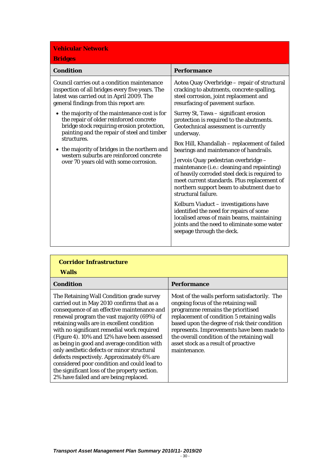| <b>Vehicular Network</b><br><b>Bridges</b>                                                                                                                                            |                                                                                                                                                                                                                                                        |  |  |
|---------------------------------------------------------------------------------------------------------------------------------------------------------------------------------------|--------------------------------------------------------------------------------------------------------------------------------------------------------------------------------------------------------------------------------------------------------|--|--|
| <b>Condition</b>                                                                                                                                                                      | <b>Performance</b>                                                                                                                                                                                                                                     |  |  |
| Council carries out a condition maintenance<br>inspection of all bridges every five years. The<br>latest was carried out in April 2009. The<br>general findings from this report are: | Aotea Quay Overbridge – repair of structural<br>cracking to abutments, concrete spalling,<br>steel corrosion, joint replacement and<br>resurfacing of pavement surface.                                                                                |  |  |
| • the majority of the maintenance cost is for<br>the repair of older reinforced concrete<br>bridge stock requiring erosion protection,<br>painting and the repair of steel and timber | Surrey St, Tawa - significant erosion<br>protection is required to the abutments.<br>Geotechnical assessment is currently<br>underway.                                                                                                                 |  |  |
| structures.<br>• the majority of bridges in the northern and                                                                                                                          | Box Hill, Khandallah - replacement of failed<br>bearings and maintenance of handrails.                                                                                                                                                                 |  |  |
| western suburbs are reinforced concrete<br>over 70 years old with some corrosion.                                                                                                     | Jervois Quay pedestrian overbridge -<br>maintenance (i.e.: cleaning and repainting)<br>of heavily corroded steel deck is required to<br>meet current standards. Plus replacement of<br>northern support beam to abutment due to<br>structural failure. |  |  |
|                                                                                                                                                                                       | Kelburn Viaduct - investigations have<br>identified the need for repairs of some<br>localised areas of main beams, maintaining<br>joints and the need to eliminate some water<br>seepage through the deck.                                             |  |  |

| <b>Corridor Infrastructure</b><br><b>Walls</b>                                                                                                                                                                                                                                                                                                                                                                                                                                                                                                                                                                      |                                                                                                                                                                                                                                                                                                                                                                               |  |  |
|---------------------------------------------------------------------------------------------------------------------------------------------------------------------------------------------------------------------------------------------------------------------------------------------------------------------------------------------------------------------------------------------------------------------------------------------------------------------------------------------------------------------------------------------------------------------------------------------------------------------|-------------------------------------------------------------------------------------------------------------------------------------------------------------------------------------------------------------------------------------------------------------------------------------------------------------------------------------------------------------------------------|--|--|
| <b>Condition</b>                                                                                                                                                                                                                                                                                                                                                                                                                                                                                                                                                                                                    | <b>Performance</b>                                                                                                                                                                                                                                                                                                                                                            |  |  |
| The Retaining Wall Condition grade survey<br>carried out in May 2010 confirms that as a<br>consequence of an effective maintenance and<br>renewal program the vast majority (69%) of<br>retaining walls are in excellent condition<br>with no significant remedial work required<br>(Figure 4). 10% and 12% have been assessed<br>as being in good and average condition with<br>only aesthetic defects or minor structural<br>defects respectively. Approximately 6% are<br>considered poor condition and could lead to<br>the significant loss of the property section.<br>2% have failed and are being replaced. | Most of the walls perform satisfactorily. The<br>ongoing focus of the retaining wall<br>programme remains the prioritised<br>replacement of condition 5 retaining walls<br>based upon the degree of risk their condition<br>represents. Improvements have been made to<br>the overall condition of the retaining wall<br>asset stock as a result of proactive<br>maintenance. |  |  |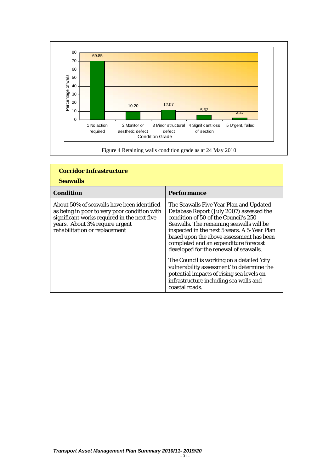

| <b>Corridor Infrastructure</b><br><b>Seawalls</b>                                                                                                                                                            |                                                                                                                                                                                                                                                                                                                                                                                                                                                                                                                                                             |  |  |
|--------------------------------------------------------------------------------------------------------------------------------------------------------------------------------------------------------------|-------------------------------------------------------------------------------------------------------------------------------------------------------------------------------------------------------------------------------------------------------------------------------------------------------------------------------------------------------------------------------------------------------------------------------------------------------------------------------------------------------------------------------------------------------------|--|--|
| Condition                                                                                                                                                                                                    | <b>Performance</b>                                                                                                                                                                                                                                                                                                                                                                                                                                                                                                                                          |  |  |
| About 50% of seawalls have been identified<br>as being in poor to very poor condition with<br>significant works required in the next five<br>years. About 3% require urgent<br>rehabilitation or replacement | The Seawalls Five Year Plan and Updated<br>Database Report (July 2007) assessed the<br>condition of 50 of the Council's 250<br>Seawalls. The remaining seawalls will be<br>inspected in the next 5 years. A 5-Year Plan<br>based upon the above assessment has been<br>completed and an expenditure forecast<br>developed for the renewal of seawalls.<br>The Council is working on a detailed 'city<br>vulnerability assessment' to determine the<br>potential impacts of rising sea levels on<br>infrastructure including sea walls and<br>coastal roads. |  |  |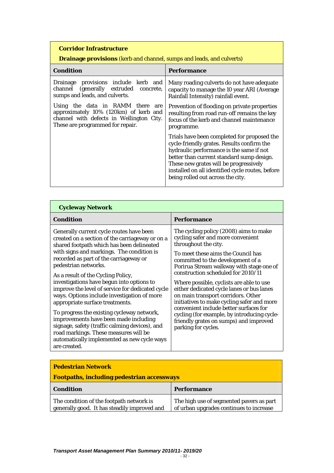# **Drainage provisions** (kerb and channel, sumps and leads, and culverts)

| <b>Condition</b>                                                                                                                                             | <b>Performance</b>                                                                                                                                                                                                                                                                                                    |
|--------------------------------------------------------------------------------------------------------------------------------------------------------------|-----------------------------------------------------------------------------------------------------------------------------------------------------------------------------------------------------------------------------------------------------------------------------------------------------------------------|
| provisions include kerb and<br>Drainage<br>channel (generally extruded concrete,<br>sumps and leads, and culverts.                                           | Many roading culverts do not have adequate<br>capacity to manage the 10 year ARI (Average<br>Rainfall Intensity) rainfall event.                                                                                                                                                                                      |
| Using the data in RAMM there<br>are<br>approximately 10% (120km) of kerb and<br>channel with defects in Wellington City.<br>These are programmed for repair. | Prevention of flooding on private properties<br>resulting from road run-off remains the key<br>focus of the kerb and channel maintenance<br>programme.                                                                                                                                                                |
|                                                                                                                                                              | Trials have been completed for proposed the<br>cycle-friendly grates. Results confirm the<br>hydraulic performance is the same if not<br>better than current standard sump design.<br>These new grates will be progressively<br>installed on all identified cycle routes, before<br>being rolled out across the city. |

| <b>Cycleway Network</b>                                                                                                                                                                                                                                                                                                                                                                                                                                                                                                                                                                                                                                                                                                           |                                                                                                                                                                                                                                                                                                                                                                                                                                                                                                                                                                                                         |
|-----------------------------------------------------------------------------------------------------------------------------------------------------------------------------------------------------------------------------------------------------------------------------------------------------------------------------------------------------------------------------------------------------------------------------------------------------------------------------------------------------------------------------------------------------------------------------------------------------------------------------------------------------------------------------------------------------------------------------------|---------------------------------------------------------------------------------------------------------------------------------------------------------------------------------------------------------------------------------------------------------------------------------------------------------------------------------------------------------------------------------------------------------------------------------------------------------------------------------------------------------------------------------------------------------------------------------------------------------|
| <b>Condition</b>                                                                                                                                                                                                                                                                                                                                                                                                                                                                                                                                                                                                                                                                                                                  | Performance                                                                                                                                                                                                                                                                                                                                                                                                                                                                                                                                                                                             |
| Generally current cycle routes have been<br>created on a section of the carriageway or on a<br>shared footpath which has been delineated<br>with signs and markings. The condition is<br>recorded as part of the carriageway or<br>pedestrian networks.<br>As a result of the Cycling Policy,<br>investigations have begun into options to<br>improve the level of service for dedicated cycle<br>ways. Options include investigation of more<br>appropriate surface treatments.<br>To progress the existing cycleway network,<br>improvements have been made including<br>signage, safety (traffic calming devices), and<br>road markings. These measures will be<br>automatically implemented as new cycle ways<br>are created. | The cycling policy (2008) aims to make<br>cycling safer and more convenient<br>throughout the city.<br>To meet these aims the Council has<br>committed to the development of a<br>Porirua Stream walkway with stage one of<br>construction scheduled for 2010/11<br>Where possible, cyclists are able to use<br>either dedicated cycle lanes or bus lanes<br>on main transport corridors. Other<br>initiatives to make cycling safer and more<br>convenient include better surfaces for<br>cycling (for example, by introducing cycle-<br>friendly grates on sumps) and improved<br>parking for cycles. |

| <b>Pedestrian Network</b><br><b>Footpaths, including pedestrian accessways</b>           |                                                                                     |
|------------------------------------------------------------------------------------------|-------------------------------------------------------------------------------------|
| <b>Condition</b>                                                                         | <b>Performance</b>                                                                  |
| The condition of the footpath network is<br>generally good. It has steadily improved and | The high use of segmented pavers as part<br>of urban upgrades continues to increase |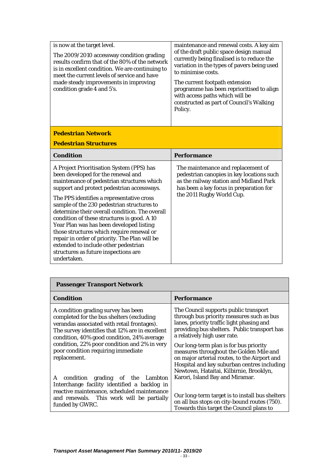| is now at the target level.                                                                                                                                                                   | maintenance and renewal costs. A key aim<br>of the draft public space design manual                                                                                   |
|-----------------------------------------------------------------------------------------------------------------------------------------------------------------------------------------------|-----------------------------------------------------------------------------------------------------------------------------------------------------------------------|
| The 2009/2010 accessway condition grading<br>results confirm that of the 80% of the network<br>is in excellent condition. We are continuing to<br>meet the current levels of service and have | currently being finalised is to reduce the<br>variation in the types of pavers being used<br>to minimise costs.                                                       |
| made steady improvements in improving<br>condition grade 4 and 5's.                                                                                                                           | The current footpath extension<br>programme has been reprioritised to align<br>with access paths which will be<br>constructed as part of Council's Walking<br>Policy. |

# **Pedestrian Network**

# **Pedestrian Structures**

| Condition                                                                                                                                                                                                                                                                                                                                                                                                                                                                                                                                                                                                        | Performance                                                                                                                                                                                        |
|------------------------------------------------------------------------------------------------------------------------------------------------------------------------------------------------------------------------------------------------------------------------------------------------------------------------------------------------------------------------------------------------------------------------------------------------------------------------------------------------------------------------------------------------------------------------------------------------------------------|----------------------------------------------------------------------------------------------------------------------------------------------------------------------------------------------------|
| A Project Prioritisation System (PPS) has<br>been developed for the renewal and<br>maintenance of pedestrian structures which<br>support and protect pedestrian accessways.<br>The PPS identifies a representative cross<br>sample of the 230 pedestrian structures to<br>determine their overall condition. The overall<br>condition of these structures is good. A 10<br>Year Plan was has been developed listing<br>those structures which require renewal or<br>repair in order of priority. The Plan will be<br>extended to include other pedestrian<br>structures as future inspections are<br>undertaken. | The maintenance and replacement of<br>pedestrian canopies in key locations such<br>as the railway station and Midland Park<br>has been a key focus in preparation for<br>the 2011 Rugby World Cup. |

| <b>Passenger Transport Network</b>                                                                                                                                                                                                                                                                                                     |                                                                                                                                                                                                                                                                                                                                                      |
|----------------------------------------------------------------------------------------------------------------------------------------------------------------------------------------------------------------------------------------------------------------------------------------------------------------------------------------|------------------------------------------------------------------------------------------------------------------------------------------------------------------------------------------------------------------------------------------------------------------------------------------------------------------------------------------------------|
| Condition                                                                                                                                                                                                                                                                                                                              | <b>Performance</b>                                                                                                                                                                                                                                                                                                                                   |
| A condition grading survey has been<br>completed for the bus shelters (excluding<br>verandas associated with retail frontages).<br>The survey identifies that 12% are in excellent<br>condition, 40% good condition, 24% average<br>condition, 22% poor condition and 2% in very<br>poor condition requiring immediate<br>replacement. | The Council supports public transport<br>through bus priority measures such as bus<br>lanes, priority traffic light phasing and<br>providing bus shelters. Public transport has<br>a relatively high user rate.<br>Our long-term plan is for bus priority<br>measures throughout the Golden Mile and<br>on major arterial routes, to the Airport and |
| condition grading of the Lambton<br>A                                                                                                                                                                                                                                                                                                  | Hospital and key suburban centres including<br>Newtown, Hataitai, Kilbirnie, Brooklyn,<br>Karori, Island Bay and Miramar.                                                                                                                                                                                                                            |
| Interchange facility identified a backlog in<br>reactive maintenance, scheduled maintenance<br>and renewals. This work will be partially<br>funded by GWRC.                                                                                                                                                                            | Our long-term target is to install bus shelters<br>on all bus stops on city-bound routes (750).<br>Towards this target the Council plans to                                                                                                                                                                                                          |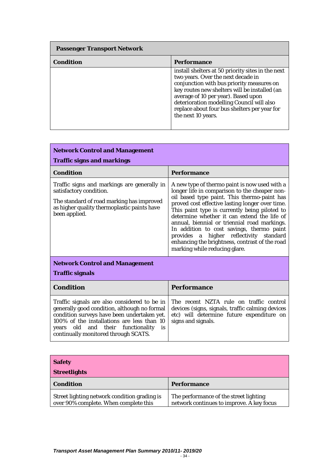| <b>Passenger Transport Network</b> |                                                                                                                                                                                                                                                                                                                                                 |
|------------------------------------|-------------------------------------------------------------------------------------------------------------------------------------------------------------------------------------------------------------------------------------------------------------------------------------------------------------------------------------------------|
| <b>Condition</b>                   | <b>Performance</b>                                                                                                                                                                                                                                                                                                                              |
|                                    | install shelters at 50 priority sites in the next<br>two years. Over the next decade in<br>conjunction with bus priority measures on<br>key routes new shelters will be installed (an<br>average of 10 per year). Based upon<br>deterioration modelling Council will also<br>replace about four bus shelters per year for<br>the next 10 years. |

 $\overline{\phantom{a}}$ 

| <b>Network Control and Management</b><br><b>Traffic signs and markings</b>                                                                                                                                                                                                   |                                                                                                                                                                                                                                                                                                                                                                                                                                                                                                                             |
|------------------------------------------------------------------------------------------------------------------------------------------------------------------------------------------------------------------------------------------------------------------------------|-----------------------------------------------------------------------------------------------------------------------------------------------------------------------------------------------------------------------------------------------------------------------------------------------------------------------------------------------------------------------------------------------------------------------------------------------------------------------------------------------------------------------------|
| <b>Condition</b>                                                                                                                                                                                                                                                             | Performance                                                                                                                                                                                                                                                                                                                                                                                                                                                                                                                 |
| Traffic signs and markings are generally in<br>satisfactory condition.<br>The standard of road marking has improved<br>as higher quality thermoplastic paints have<br>been applied.                                                                                          | A new type of thermo paint is now used with a<br>longer life in comparison to the cheaper non-<br>oil based type paint. This thermo-paint has<br>proved cost effective lasting longer over time.<br>This paint type is currently being piloted to<br>determine whether it can extend the life of<br>annual, biennial or triennial road markings.<br>In addition to cost savings, thermo paint<br>provides a higher reflectivity standard<br>enhancing the brightness, contrast of the road<br>marking while reducing glare. |
| <b>Network Control and Management</b><br><b>Traffic signals</b>                                                                                                                                                                                                              |                                                                                                                                                                                                                                                                                                                                                                                                                                                                                                                             |
| <b>Condition</b>                                                                                                                                                                                                                                                             | <b>Performance</b>                                                                                                                                                                                                                                                                                                                                                                                                                                                                                                          |
| Traffic signals are also considered to be in<br>generally good condition, although no formal<br>condition surveys have been undertaken yet.<br>100% of the installations are less than 10<br>years old and their functionality<br>is<br>continually monitored through SCATS. | The recent NZTA rule on traffic control<br>devices (signs, signals, traffic calming devices<br>etc) will determine future expenditure on<br>signs and signals.                                                                                                                                                                                                                                                                                                                                                              |

| <b>Safety</b><br><b>Streetlights</b>                                                  |                                                                                     |
|---------------------------------------------------------------------------------------|-------------------------------------------------------------------------------------|
| Condition                                                                             | <b>Performance</b>                                                                  |
| Street lighting network condition grading is<br>over 90% complete. When complete this | The performance of the street lighting<br>network continues to improve. A key focus |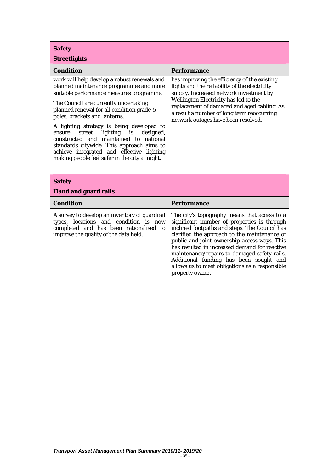**Safety** 

| <b>Streetlights</b> |  |
|---------------------|--|
|                     |  |

| Condition                                                                                                                                                                                                                                                                                                                                                                                                                                                                                                                            | Performance                                                                                                                                                                                                                                                                                                           |
|--------------------------------------------------------------------------------------------------------------------------------------------------------------------------------------------------------------------------------------------------------------------------------------------------------------------------------------------------------------------------------------------------------------------------------------------------------------------------------------------------------------------------------------|-----------------------------------------------------------------------------------------------------------------------------------------------------------------------------------------------------------------------------------------------------------------------------------------------------------------------|
| work will help develop a robust renewals and<br>planned maintenance programmes and more<br>suitable performance measures programme.<br>The Council are currently undertaking<br>planned renewal for all condition grade-5<br>poles, brackets and lanterns.<br>A lighting strategy is being developed to<br>ensure street lighting is designed,<br>constructed and maintained to national<br>standards citywide. This approach aims to<br>achieve integrated and effective lighting<br>making people feel safer in the city at night. | has improving the efficiency of the existing<br>lights and the reliability of the electricity<br>supply. Increased network investment by<br>Wellington Electricity has led to the<br>replacement of damaged and aged cabling. As<br>a result a number of long term reoccurring<br>network outages have been resolved. |

| <b>Safety</b><br><b>Hand and guard rails</b>                                                                                                                              |                                                                                                                                                                                                                                                                                                                                                                                                                                                              |
|---------------------------------------------------------------------------------------------------------------------------------------------------------------------------|--------------------------------------------------------------------------------------------------------------------------------------------------------------------------------------------------------------------------------------------------------------------------------------------------------------------------------------------------------------------------------------------------------------------------------------------------------------|
| <b>Condition</b>                                                                                                                                                          | Performance                                                                                                                                                                                                                                                                                                                                                                                                                                                  |
| A survey to develop an inventory of guardrail<br>types, locations and condition is now<br>completed and has been rationalised to<br>improve the quality of the data held. | The city's topography means that access to a<br>significant number of properties is through<br>inclined footpaths and steps. The Council has<br>clarified the approach to the maintenance of<br>public and joint ownership access ways. This<br>has resulted in increased demand for reactive<br>maintenance/repairs to damaged safety rails.<br>Additional funding has been sought and<br>allows us to meet obligations as a responsible<br>property owner. |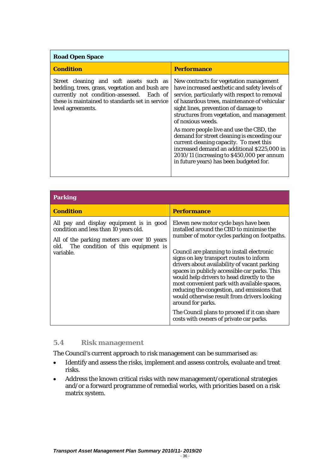<span id="page-36-0"></span>

| <b>Road Open Space</b>                                                                                                                                                                                         |                                                                                                                                                                                                                                                                                                                                                                                                                                                                                                                                                                                    |
|----------------------------------------------------------------------------------------------------------------------------------------------------------------------------------------------------------------|------------------------------------------------------------------------------------------------------------------------------------------------------------------------------------------------------------------------------------------------------------------------------------------------------------------------------------------------------------------------------------------------------------------------------------------------------------------------------------------------------------------------------------------------------------------------------------|
| <b>Condition</b>                                                                                                                                                                                               | <b>Performance</b>                                                                                                                                                                                                                                                                                                                                                                                                                                                                                                                                                                 |
| Street cleaning and soft assets such as<br>bedding, trees, grass, vegetation and bush are<br>currently not condition-assessed. Each of<br>these is maintained to standards set in service<br>level agreements. | New contracts for vegetation management<br>have increased aesthetic and safety levels of<br>service, particularly with respect to removal<br>of hazardous trees, maintenance of vehicular<br>sight lines, prevention of damage to<br>structures from vegetation, and management<br>of noxious weeds.<br>As more people live and use the CBD, the<br>demand for street cleaning is exceeding our<br>current cleaning capacity. To meet this<br>increased demand an additional \$225,000 in<br>2010/11 (increasing to \$450,000 per annum<br>in future years) has been budgeted for. |

| Parking                                                                                                                                                                                  |                                                                                                                                                                                                                                                                                                                                                                                                                                                                                                                                                                                                                                        |
|------------------------------------------------------------------------------------------------------------------------------------------------------------------------------------------|----------------------------------------------------------------------------------------------------------------------------------------------------------------------------------------------------------------------------------------------------------------------------------------------------------------------------------------------------------------------------------------------------------------------------------------------------------------------------------------------------------------------------------------------------------------------------------------------------------------------------------------|
| <b>Condition</b>                                                                                                                                                                         | <b>Performance</b>                                                                                                                                                                                                                                                                                                                                                                                                                                                                                                                                                                                                                     |
| All pay and display equipment is in good<br>condition and less than 10 years old.<br>All of the parking meters are over 10 years<br>old. The condition of this equipment is<br>variable. | Eleven new motor cycle bays have been<br>installed around the CBD to minimise the<br>number of motor cycles parking on footpaths.<br>Council are planning to install electronic<br>signs on key transport routes to inform<br>drivers about availability of vacant parking<br>spaces in publicly accessible car parks. This<br>would help drivers to head directly to the<br>most convenient park with available spaces,<br>reducing the congestion, and emissions that<br>would otherwise result from drivers looking<br>around for parks.<br>The Council plans to proceed if it can share<br>costs with owners of private car parks. |

# **5.4 Risk management**

The Council's current approach to risk management can be summarised as:

- Identify and assess the risks, implement and assess controls, evaluate and treat risks.
- Address the known critical risks with new management/operational strategies and/or a forward programme of remedial works, with priorities based on a risk matrix system.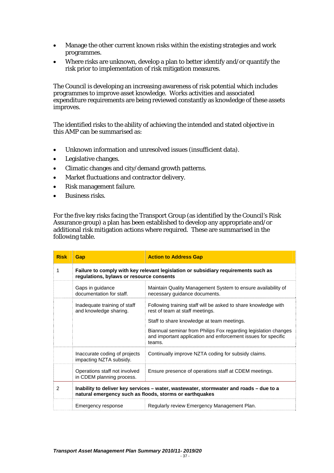- Manage the other current known risks within the existing strategies and work programmes.
- Where risks are unknown, develop a plan to better identify and/or quantify the risk prior to implementation of risk mitigation measures.

The Council is developing an increasing awareness of risk potential which includes programmes to improve asset knowledge. Works activities and associated expenditure requirements are being reviewed constantly as knowledge of these assets improves.

The identified risks to the ability of achieving the intended and stated objective in this AMP can be summarised as:

- Unknown information and unresolved issues (insufficient data).
- Legislative changes.
- Climatic changes and city/demand growth patterns.
- Market fluctuations and contractor delivery.
- Risk management failure.
- Business risks.

For the five key risks facing the Transport Group (as identified by the Council's Risk Assurance group) a plan has been established to develop any appropriate and/or additional risk mitigation actions where required. These are summarised in the following table.

| <b>Risk</b>   | <b>Gap</b>                                                                                                                                        | <b>Action to Address Gap</b>                                                                                                               |  |  |  |  |  |  |  |
|---------------|---------------------------------------------------------------------------------------------------------------------------------------------------|--------------------------------------------------------------------------------------------------------------------------------------------|--|--|--|--|--|--|--|
| 1             | regulations, bylaws or resource consents                                                                                                          | Failure to comply with key relevant legislation or subsidiary requirements such as                                                         |  |  |  |  |  |  |  |
|               | Gaps in guidance<br>documentation for staff.                                                                                                      | Maintain Quality Management System to ensure availability of<br>necessary guidance documents.                                              |  |  |  |  |  |  |  |
|               | Inadequate training of staff<br>and knowledge sharing.                                                                                            | Following training staff will be asked to share knowledge with<br>rest of team at staff meetings.                                          |  |  |  |  |  |  |  |
|               |                                                                                                                                                   | Staff to share knowledge at team meetings.                                                                                                 |  |  |  |  |  |  |  |
|               |                                                                                                                                                   | Biannual seminar from Philips Fox regarding legislation changes<br>and important application and enforcement issues for specific<br>teams. |  |  |  |  |  |  |  |
|               | Inaccurate coding of projects<br>impacting NZTA subsidy.                                                                                          | Continually improve NZTA coding for subsidy claims.                                                                                        |  |  |  |  |  |  |  |
|               | Operations staff not involved<br>in CDEM planning process.                                                                                        | Ensure presence of operations staff at CDEM meetings.                                                                                      |  |  |  |  |  |  |  |
| $\mathcal{P}$ | Inability to deliver key services – water, wastewater, stormwater and roads – due to a<br>natural emergency such as floods, storms or earthquakes |                                                                                                                                            |  |  |  |  |  |  |  |
|               | Emergency response                                                                                                                                | Regularly review Emergency Management Plan.                                                                                                |  |  |  |  |  |  |  |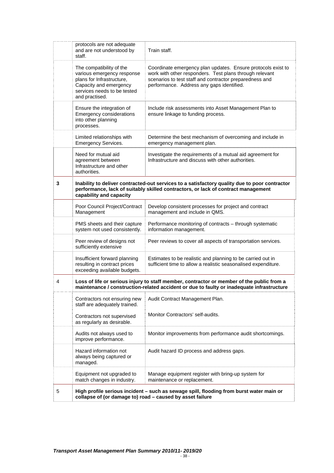|   | protocols are not adequate<br>and are not understood by<br>staff.                                                                                              | Train staff.                                                                                                                                                                                                                    |  |  |  |  |  |  |  |  |
|---|----------------------------------------------------------------------------------------------------------------------------------------------------------------|---------------------------------------------------------------------------------------------------------------------------------------------------------------------------------------------------------------------------------|--|--|--|--|--|--|--|--|
|   | The compatibility of the<br>various emergency response<br>plans for Infrastructure,<br>Capacity and emergency<br>services needs to be tested<br>and practised. | Coordinate emergency plan updates. Ensure protocols exist to<br>work with other responders. Test plans through relevant<br>scenarios to test staff and contractor preparedness and<br>performance. Address any gaps identified. |  |  |  |  |  |  |  |  |
|   | Ensure the integration of<br>Emergency considerations<br>into other planning<br>processes.                                                                     | Include risk assessments into Asset Management Plan to<br>ensure linkage to funding process.                                                                                                                                    |  |  |  |  |  |  |  |  |
|   | Limited relationships with<br><b>Emergency Services.</b>                                                                                                       | Determine the best mechanism of overcoming and include in<br>emergency management plan.                                                                                                                                         |  |  |  |  |  |  |  |  |
|   | Need for mutual aid<br>agreement between<br>Infrastructure and other<br>authorities.                                                                           | Investigate the requirements of a mutual aid agreement for<br>Infrastructure and discuss with other authorities.                                                                                                                |  |  |  |  |  |  |  |  |
| 3 | capability and capacity                                                                                                                                        | Inability to deliver contracted-out services to a satisfactory quality due to poor contractor<br>performance, lack of suitably skilled contractors, or lack of contract management                                              |  |  |  |  |  |  |  |  |
|   | Poor Council Project/Contract<br>Management                                                                                                                    | Develop consistent processes for project and contract<br>management and include in QMS.                                                                                                                                         |  |  |  |  |  |  |  |  |
|   | PMS sheets and their capture<br>system not used consistently.                                                                                                  | Performance monitoring of contracts - through systematic<br>information management.                                                                                                                                             |  |  |  |  |  |  |  |  |
|   | Peer review of designs not<br>sufficiently extensive                                                                                                           | Peer reviews to cover all aspects of transportation services.                                                                                                                                                                   |  |  |  |  |  |  |  |  |
|   | Insufficient forward planning<br>resulting in contract prices<br>exceeding available budgets.                                                                  | Estimates to be realistic and planning to be carried out in<br>sufficient time to allow a realistic seasonalised expenditure.                                                                                                   |  |  |  |  |  |  |  |  |
| 4 |                                                                                                                                                                | Loss of life or serious injury to staff member, contractor or member of the public from a<br>maintenance / construction-related accident or due to faulty or inadequate infrastructure                                          |  |  |  |  |  |  |  |  |
|   | Contractors not ensuring new<br>staff are adequately trained.                                                                                                  | Audit Contract Management Plan.                                                                                                                                                                                                 |  |  |  |  |  |  |  |  |
|   | Contractors not supervised<br>as regularly as desirable.                                                                                                       | Monitor Contractors' self-audits.                                                                                                                                                                                               |  |  |  |  |  |  |  |  |
|   | Audits not always used to<br>improve performance.                                                                                                              | Monitor improvements from performance audit shortcomings.                                                                                                                                                                       |  |  |  |  |  |  |  |  |
|   | Hazard information not<br>always being captured or<br>managed.                                                                                                 | Audit hazard ID process and address gaps.                                                                                                                                                                                       |  |  |  |  |  |  |  |  |
|   | Equipment not upgraded to<br>match changes in industry.                                                                                                        | Manage equipment register with bring-up system for<br>maintenance or replacement.                                                                                                                                               |  |  |  |  |  |  |  |  |
| 5 | High profile serious incident - such as sewage spill, flooding from burst water main or<br>collapse of (or damage to) road - caused by asset failure           |                                                                                                                                                                                                                                 |  |  |  |  |  |  |  |  |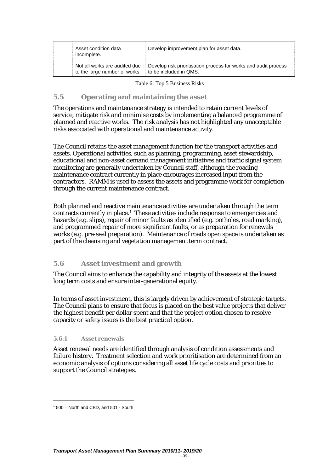<span id="page-39-0"></span>

| Asset condition data<br>incomplete. | Develop improvement plan for asset data.                        |
|-------------------------------------|-----------------------------------------------------------------|
| Not all works are audited due       | Develop risk prioritisation process for works and audit process |
| to the large number of works.       | to be included in QMS.                                          |

Table 6: Top 5 Business Risks

#### **5.5 Operating and maintaining the asset**

The operations and maintenance strategy is intended to retain current levels of service, mitigate risk and minimise costs by implementing a balanced programme of planned and reactive works. The risk analysis has not highlighted any unacceptable risks associated with operational and maintenance activity.

The Council retains the asset management function for the transport activities and assets. Operational activities, such as planning, programming, asset stewardship, educational and non-asset demand management initiatives and traffic signal system monitoring are generally undertaken by Council staff, although the roading maintenance contract currently in place encourages increased input from the contractors. RAMM is used to assess the assets and programme work for completion through the current maintenance contract.

Both planned and reactive maintenance activities are undertaken through the term contracts currently in place.[1](#page-39-0) These activities include response to emergencies and hazards (e.g. slips), repair of minor faults as identified (e.g. potholes, road marking), and programmed repair of more significant faults, or as preparation for renewals works (e.g. pre-seal preparation). Maintenance of roads open space is undertaken as part of the cleansing and vegetation management term contract.

# **5.6 Asset investment and growth**

The Council aims to enhance the capability and integrity of the assets at the lowest long term costs and ensure inter-generational equity.

In terms of asset investment, this is largely driven by achievement of strategic targets. The Council plans to ensure that focus is placed on the best value projects that deliver the highest benefit per dollar spent and that the project option chosen to resolve capacity or safety issues is the best practical option.

#### **5.6.1 Asset renewals**

Asset renewal needs are identified through analysis of condition assessments and failure history. Treatment selection and work prioritisation are determined from an economic analysis of options considering all asset life cycle costs and priorities to support the Council strategies.

l

<sup>1</sup> 500 – North and CBD, and 501 - South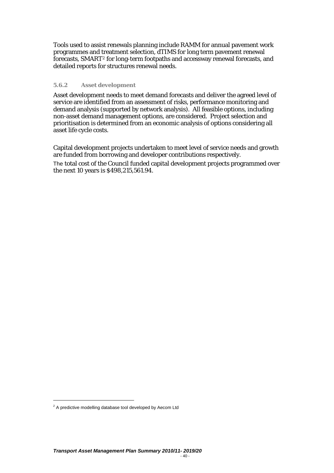<span id="page-40-0"></span>Tools used to assist renewals planning include RAMM for annual pavement work programmes and treatment selection, dTIMS for long term pavement renewal forecasts, SMART[2](#page-40-0) for long-term footpaths and accessway renewal forecasts, and detailed reports for structures renewal needs.

#### **5.6.2 Asset development**

Asset development needs to meet demand forecasts and deliver the agreed level of service are identified from an assessment of risks, performance monitoring and demand analysis (supported by network analysis). All feasible options, including non-asset demand management options, are considered. Project selection and prioritisation is determined from an economic analysis of options considering all asset life cycle costs.

Capital development projects undertaken to meet level of service needs and growth are funded from borrowing and developer contributions respectively. The total cost of the Council funded capital development projects programmed over the next 10 years is \$498,215,561.94.

l

 $2$  A predictive modelling database tool developed by Aecom Ltd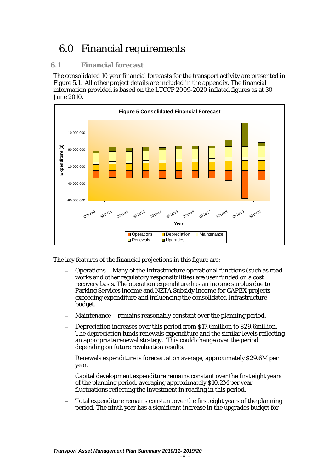# <span id="page-41-0"></span>6.0 Financial requirements

# **6.1 Financial forecast**

The consolidated 10 year financial forecasts for the transport activity are presented in Figure 5.1. All other project details are included in the appendix. The financial information provided is based on the LTCCP 2009-2020 inflated figures as at 30 June 2010.



The key features of the financial projections in this figure are:

- − Operations Many of the Infrastructure operational functions (such as road works and other regulatory responsibilities) are user funded on a cost recovery basis. The operation expenditure has an income surplus due to Parking Services income and NZTA Subsidy income for CAPEX projects exceeding expenditure and influencing the consolidated Infrastructure budget.
- Maintenance remains reasonably constant over the planning period.
- − Depreciation increases over this period from \$17.6million to \$29.6million. The depreciation funds renewals expenditure and the similar levels reflecting an appropriate renewal strategy. This could change over the period depending on future revaluation results.
- − Renewals expenditure is forecast at on average, approximately \$29.6M per year.
- − Capital development expenditure remains constant over the first eight years of the planning period, averaging approximately \$10.2M per year fluctuations reflecting the investment in roading in this period.
- Total expenditure remains constant over the first eight years of the planning period. The ninth year has a significant increase in the upgrades budget for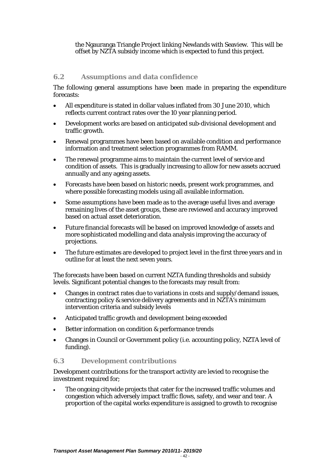<span id="page-42-0"></span>the Ngauranga Triangle Project linking Newlands with Seaview. This will be offset by NZTA subsidy income which is expected to fund this project.

# **6.2 Assumptions and data confidence**

The following general assumptions have been made in preparing the expenditure forecasts:

- All expenditure is stated in dollar values inflated from 30 June 2010, which reflects current contract rates over the 10 year planning period.
- Development works are based on anticipated sub-divisional development and traffic growth.
- Renewal programmes have been based on available condition and performance information and treatment selection programmes from RAMM.
- The renewal programme aims to maintain the current level of service and condition of assets. This is gradually increasing to allow for new assets accrued annually and any ageing assets.
- Forecasts have been based on historic needs, present work programmes, and where possible forecasting models using all available information.
- Some assumptions have been made as to the average useful lives and average remaining lives of the asset groups, these are reviewed and accuracy improved based on actual asset deterioration.
- Future financial forecasts will be based on improved knowledge of assets and more sophisticated modelling and data analysis improving the accuracy of projections.
- The future estimates are developed to project level in the first three years and in outline for at least the next seven years.

The forecasts have been based on current NZTA funding thresholds and subsidy levels. Significant potential changes to the forecasts may result from:

- Changes in contract rates due to variations in costs and supply/demand issues, contracting policy & service delivery agreements and in NZTA's minimum intervention criteria and subsidy levels
- Anticipated traffic growth and development being exceeded
- Better information on condition & performance trends
- Changes in Council or Government policy (i.e. accounting policy, NZTA level of funding).

### **6.3 Development contributions**

Development contributions for the transport activity are levied to recognise the investment required for;

• The ongoing citywide projects that cater for the increased traffic volumes and congestion which adversely impact traffic flows, safety, and wear and tear. A proportion of the capital works expenditure is assigned to growth to recognise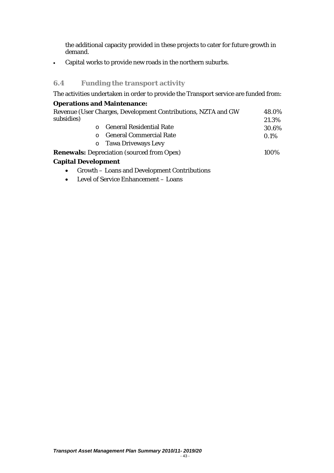<span id="page-43-0"></span>the additional capacity provided in these projects to cater for future growth in demand.

• Capital works to provide new roads in the northern suburbs.

# **6.4 Funding the transport activity**

The activities undertaken in order to provide the Transport service are funded from:

# **Operations and Maintenance:**

| subsidies) | Revenue (User Charges, Development Contributions, NZTA and GW | 48.0%<br>21.3% |
|------------|---------------------------------------------------------------|----------------|
|            | <b>General Residential Rate</b>                               | 30.6%          |
| $\Omega$   | <b>General Commercial Rate</b>                                | 0.1%           |
|            | o Tawa Driveways Levy                                         |                |
|            | <b>Renewals:</b> Depreciation (sourced from Opex)             | 100%           |
|            |                                                               |                |

# **Capital Development**

- Growth Loans and Development Contributions
- Level of Service Enhancement Loans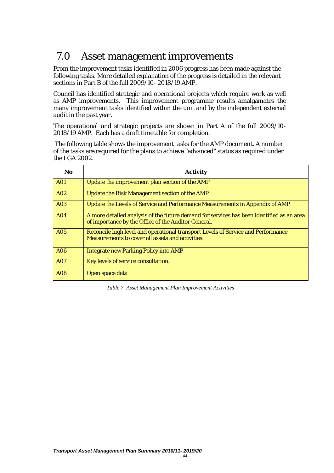# <span id="page-44-0"></span>7.0 Asset management improvements

From the improvement tasks identified in 2006 progress has been made against the following tasks. More detailed explanation of the progress is detailed in the relevant sections in Part B of the full 2009/10- 2018/19 AMP.

Council has identified strategic and operational projects which require work as well as AMP improvements. This improvement programme results amalgamates the many improvement tasks identified within the unit and by the independent external audit in the past year.

The operational and strategic projects are shown in Part A of the full 2009/10- 2018/19 AMP. Each has a draft timetable for completion.

 The following table shows the improvement tasks for the AMP document. A number of the tasks are required for the plans to achieve "advanced" status as required under the LGA 2002.

| <b>No</b>  | <b>Activity</b>                                                                                                                                  |
|------------|--------------------------------------------------------------------------------------------------------------------------------------------------|
| <b>A01</b> | Update the improvement plan section of the AMP                                                                                                   |
| A02        | Update the Risk Management section of the AMP                                                                                                    |
| <b>A03</b> | Update the Levels of Service and Performance Measurements in Appendix of AMP                                                                     |
| <b>A04</b> | A more detailed analysis of the future demand for services has been identified as an area<br>of importance by the Office of the Auditor General. |
| <b>A05</b> | Reconcile high level and operational transport Levels of Service and Performance<br>Measurements to cover all assets and activities.             |
| A06        | <b>Integrate new Parking Policy into AMP</b>                                                                                                     |
| <b>A07</b> | Key levels of service consultation.                                                                                                              |
| <b>A08</b> | Open space data                                                                                                                                  |

*Table 7. Asset Management Plan Improvement Activities*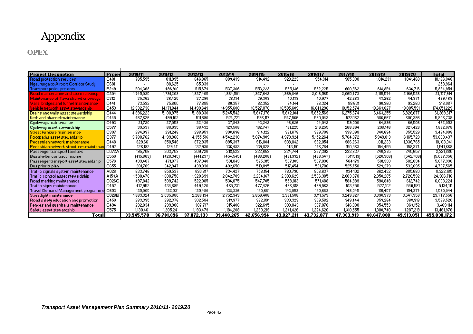# Appendix

#### **OPEX**

<span id="page-45-0"></span>

| Proiect Description                    | Projed           | 2010/11    | 2011/12    | 2012/13    | 2013/14    | 2014/15    | 2015/16    | 2016/17    | 2017/18    | 2018/19    | 2019/20    | Total       |
|----------------------------------------|------------------|------------|------------|------------|------------|------------|------------|------------|------------|------------|------------|-------------|
| Road protection services               | C481             | 785,595    | 811,995    | 846,865    | 889,439    | 914,492    | 928,223    | 954,914    | 985,030    | 1,014,231  | 1,041,463  | 10,126,048  |
| Ngaurunga to Airport Corridor Study    | C681             |            | 188,625    | 65,339     |            |            |            |            |            |            |            | 253,964     |
| <b>Transport policy projects</b>       | P249             | 504,368    | 496,910    | 515,674    | 537,366    | 553,223    | 565,136    | 582.225    | 600,562    | 618,854    | 636,716    | 5,954,954   |
| Road maintenance and storm cleanup.    | C <sub>304</sub> | 1,745,035  | 1,791,209  | 1,837,405  | 1,884,501  | 1,927,642  | 1,969,846  | 2,016,565  | 2,065,473  | 2,115,574  | 2,166,536  | 21,157,914  |
| Maintenance of Tawa shared driveways   | C312             | 35,362     | 36,425     | 37,296     | 38,134     | 39,303     | 40,139     | 40,977     | 42,283     | 43,262     | 44,374     | 429,469     |
| Walls, bridges and tunnel maintenance. | C441             | 73,592     | 75,600     | 77,885     | 80,357     | 82,352     | 84,144     | 86,324     | 88,631     | 90,960     | 93,260     | 916,087     |
| Vehicle network asset stewardship.     | C453             | 12,932,738 | 14,171,844 | 14,499,649 | 14,955,680 | 16,527,870 | 16,585,689 | 16,641,296 | 18,152,574 | 18,663,827 | 19,085,591 | 174,651,229 |
| Drains and walls asset stewardship     | C444             | 4,696,223  | 5,100,975  | 5,188,330  | 5,245,542  | 5,647,176  | 5,642,104  | 5,652,569  | 6,275,674  | 6,463,255  | 6,826,677  | 61,369,617  |
| Kerb and channel maintenance           | C445             | 487,626    | 499,102    | 511,896    | 524.721    | 536,117    | 547,566    | 560,043    | 573.162    | 586,667    | 600,398    | 5,906,738   |
| Cycleways maintenance                  | C493             | 21,720     | 27,058     | 32,436     | 37,849     | 43,242     | 48,626     | 54,042     | 59,500     | 64.896     | 66,506     | 472,053     |
| Cycleway asset stewardship             | C577             | 39,537     | 68,995     | 96,432     | 123,508    | 162,747    | 191,225    | 219,255    | 268,394    | 298,146    | 327,428    | 1,822,078   |
| Street furniture maintenance           | C307             | 284,097    | 291,248    | 298,953    | 306,696    | 314,122    | 321,678    | 329,708    | 338,098    | 346,694    | 355,529    | 3,464,008   |
| Footpaths asset stewardship            | C377             | 3,788,762  | 4,199,968  | 4,355,516  | 4.542.230  | 5,074,989  | 4.970.924  | 5,152,264  | 5,764,872  | 5,949,813  | 6,165,729  | 53,600,437  |
| l Pedestrian network maintenance       | C448             | 829,661    | 850,546    | 872,935    | 895,397    | 916,884    | 938,842    | 962,054    | 986,263    | 1,011,233  | 1,036,765  | 10,103,041  |
| Pedestrian network structures maintena | C492             | 126,193    | 129,411    | 132,930    | 136,483    | 139,829    | 143,191    | 146,784    | 150,563    | 154,455    | 158,374    | 1,541,669   |
| Passenger transport facilities         | C072A            | 195,706    | 203,759    | 209,726    | 218,523    | 222,659    | 224,744    | 227,392    | 233,637    | 240,375    | 245,657    | 2,321,880   |
| l Bus shelter contract income.         | C550             | (415,869)  | (428, 345) | (441, 237) | (454, 545) | (468, 268) | (481, 992) | (496, 547) | (511, 519) | (526, 906) | [542,709]  | (5,087,356) |
| Passenger transport asset stewardship  | C576             | 433,487    | 471,877    | 497,948    | 501,843    | 525,315    | 537,183    | 537,830    | 564,179    | 581,338    | 582,834    | 5,677,330   |
| Bus priority plan-                     | C655             | 201,709    | 342,947    | 439,930    | 492,650    | 513,895    | 517,454    | 521,780    | 525,758    | 529,279    | 532,695    | 4,737,565   |
| Traffic signals system maintenance     | A026             | 633,746    | 659,537    | 690,817    | 734,427    | 758,154    | 780,790    | 806,637    | 834,102    | 862.432    | 885,680    | 8,322,185   |
| Traffic control asset stewardship      | A153A            | 1,530,476  | 1,800,758  | 1,928,699  | 2,042,709  | 2,294,167  | 2,399,629  | 2,506,385  | 2,803,878  | 2,850,285  | 2,728,592  | 24,306,716  |
| Road marking maintenance               | C026C            | 497.842    | 509,742    | 522,085    | 536,075    | 547,705    | 558,813    | 571,488    | 584,989    | 598,848    | 612,742    | 6,003,224   |
| Traffic signs maintenance              | C452             | 412,953    | 434,895    | 449,426    | 465,731    | 477,426    | 486,818    | 499,563    | 513,250    | 527,102    | 540,591    | 5,134,111   |
| Travel Demand Management programm      | C653             | 135,005    | 132,531    | 135,486    | 138,336    | 140,681    | 143,059    | 145,683    | 148,545    | 151,457    | 154,374    | 1,580,044   |
| Streetlight maintenance                | C026B            | 1,863,324  | 2,035,880  | 2,266,134  | 2,752,943  | 2,859,468  | 2,981,588  | 3,111,573  | 3,249,927  | 3,396,373  | 3,547,959  | 29,747,556  |
| Road safety education and promotion    | C450             | 283,395    | 292,376    | 302,584    | 313,977    | 322,891    | 330,323    | 339,582    | 349.444    | 359,264    | 368,918    | 3,586,520   |
| Fences and quardrails maintenance      | C494             | 292,834    | 299,986    | 307,717    | 315,486    | 322,695    | 330,043    | 337,870    | 346,090    | 354,553    | 363,152    | 3,469,114   |
| Safety asset stewardship               | C575             | 1,130,461  | 1,205,241  | 1,193,479  | 1,184,208  | 1,260,219  | 1,241,426  | 1,224,620  | 1,310,555  | 1,300,740  | 1,287,219  | 13,461,976  |
| <b>Total</b>                           |                  | 33,545,578 | 36,701,096 | 37,872,333 | 39,440,265 | 42.656.994 | 43.027.211 | 43.732.877 | 47,303,913 | 48.647.008 | 49.913.051 | 455,030,172 |